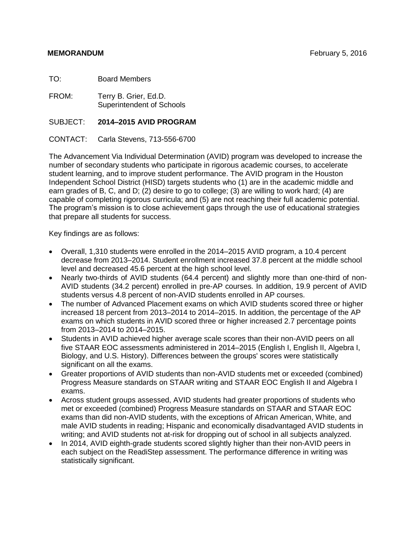TO: Board Members

FROM: Terry B. Grier, Ed.D. Superintendent of Schools

SUBJECT: **2014–2015 AVID PROGRAM**

CONTACT: Carla Stevens, 713-556-6700

The Advancement Via Individual Determination (AVID) program was developed to increase the number of secondary students who participate in rigorous academic courses, to accelerate student learning, and to improve student performance. The AVID program in the Houston Independent School District (HISD) targets students who (1) are in the academic middle and earn grades of B, C, and D; (2) desire to go to college; (3) are willing to work hard; (4) are capable of completing rigorous curricula; and (5) are not reaching their full academic potential. The program's mission is to close achievement gaps through the use of educational strategies that prepare all students for success.

Key findings are as follows:

- Overall, 1,310 students were enrolled in the 2014–2015 AVID program, a 10.4 percent decrease from 2013–2014. Student enrollment increased 37.8 percent at the middle school level and decreased 45.6 percent at the high school level.
- Nearly two-thirds of AVID students (64.4 percent) and slightly more than one-third of non-AVID students (34.2 percent) enrolled in pre-AP courses. In addition, 19.9 percent of AVID students versus 4.8 percent of non-AVID students enrolled in AP courses.
- The number of Advanced Placement exams on which AVID students scored three or higher increased 18 percent from 2013–2014 to 2014–2015. In addition, the percentage of the AP exams on which students in AVID scored three or higher increased 2.7 percentage points from 2013–2014 to 2014–2015.
- Students in AVID achieved higher average scale scores than their non-AVID peers on all five STAAR EOC assessments administered in 2014–2015 (English I, English II, Algebra I, Biology, and U.S. History). Differences between the groups' scores were statistically significant on all the exams.
- Greater proportions of AVID students than non-AVID students met or exceeded (combined) Progress Measure standards on STAAR writing and STAAR EOC English II and Algebra I exams.
- Across student groups assessed, AVID students had greater proportions of students who met or exceeded (combined) Progress Measure standards on STAAR and STAAR EOC exams than did non-AVID students, with the exceptions of African American, White, and male AVID students in reading; Hispanic and economically disadvantaged AVID students in writing; and AVID students not at-risk for dropping out of school in all subjects analyzed.
- In 2014, AVID eighth-grade students scored slightly higher than their non-AVID peers in each subject on the ReadiStep assessment. The performance difference in writing was statistically significant.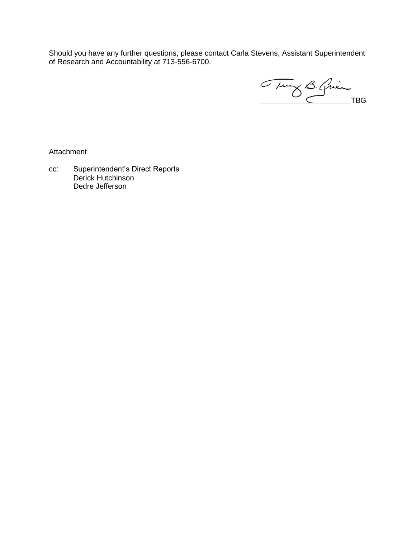Should you have any further questions, please contact Carla Stevens, Assistant Superintendent of Research and Accountability at 713-556-6700.

Tung B. Guin

Attachment

cc: Superintendent's Direct Reports Derick Hutchinson Dedre Jefferson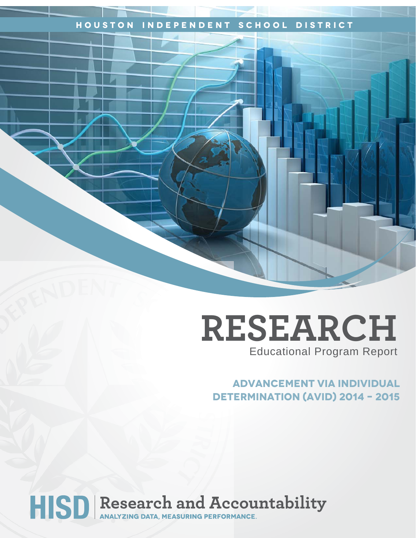### **Houston Independent School District**

# **RESEARCH** Educational Program Report

## **Advancement via individual Determination (avid) 2014 – 2015**

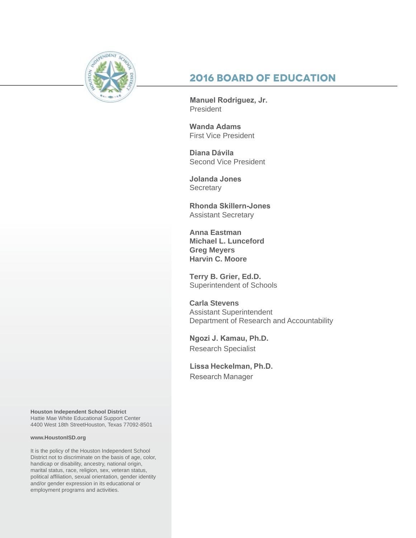

## **2016 Board of Education**

**Manuel Rodriguez, Jr.**  President

**Wanda Adams**  First Vice President

**Diana Dávila** Second Vice President

**Jolanda Jones Secretary** 

**Rhonda Skillern-Jones**  Assistant Secretary

**Anna Eastman Michael L. Lunceford Greg Meyers Harvin C. Moore**

**Terry B. Grier, Ed.D.** Superintendent of Schools

**Carla Stevens** Assistant Superintendent Department of Research and Accountability

**Ngozi J. Kamau, Ph.D.** Research Specialist

**Lissa Heckelman, Ph.D.**  Research Manager

**Houston Independent School District** Hattie Mae White Educational Support Center 4400 West 18th StreetHouston, Texas 77092-8501

#### **www.HoustonISD.org**

It is the policy of the Houston Independent School District not to discriminate on the basis of age, color, handicap or disability, ancestry, national origin, marital status, race, religion, sex, veteran status, political affiliation, sexual orientation, gender identity and/or gender expression in its educational or employment programs and activities.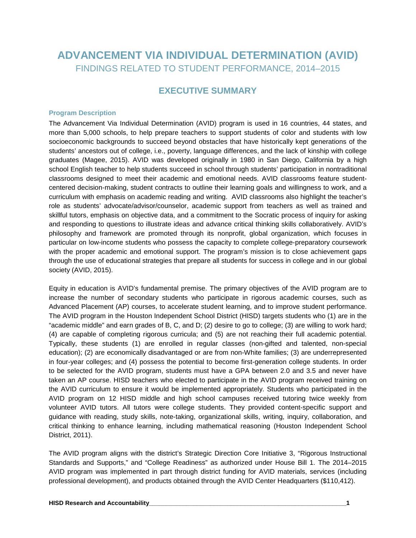## **ADVANCEMENT VIA INDIVIDUAL DETERMINATION (AVID)** FINDINGS RELATED TO STUDENT PERFORMANCE, 2014–2015

### **EXECUTIVE SUMMARY**

#### **Program Description**

The Advancement Via Individual Determination (AVID) program is used in 16 countries, 44 states, and more than 5,000 schools, to help prepare teachers to support students of color and students with low socioeconomic backgrounds to succeed beyond obstacles that have historically kept generations of the students' ancestors out of college, i.e., poverty, language differences, and the lack of kinship with college graduates (Magee, 2015). AVID was developed originally in 1980 in San Diego, California by a high school English teacher to help students succeed in school through students' participation in nontraditional classrooms designed to meet their academic and emotional needs. AVID classrooms feature studentcentered decision-making, student contracts to outline their learning goals and willingness to work, and a curriculum with emphasis on academic reading and writing. AVID classrooms also highlight the teacher's role as students' advocate/advisor/counselor, academic support from teachers as well as trained and skillful tutors, emphasis on objective data, and a commitment to the Socratic process of inquiry for asking and responding to questions to illustrate ideas and advance critical thinking skills collaboratively. AVID's philosophy and framework are promoted through its nonprofit, global organization, which focuses in particular on low-income students who possess the capacity to complete college-preparatory coursework with the proper academic and emotional support. The program's mission is to close achievement gaps through the use of educational strategies that prepare all students for success in college and in our global society (AVID, 2015).

Equity in education is AVID's fundamental premise. The primary objectives of the AVID program are to increase the number of secondary students who participate in rigorous academic courses, such as Advanced Placement (AP) courses, to accelerate student learning, and to improve student performance. The AVID program in the Houston Independent School District (HISD) targets students who (1) are in the "academic middle" and earn grades of B, C, and D; (2) desire to go to college; (3) are willing to work hard; (4) are capable of completing rigorous curricula; and (5) are not reaching their full academic potential. Typically, these students (1) are enrolled in regular classes (non-gifted and talented, non-special education); (2) are economically disadvantaged or are from non-White families; (3) are underrepresented in four-year colleges; and (4) possess the potential to become first-generation college students. In order to be selected for the AVID program, students must have a GPA between 2.0 and 3.5 and never have taken an AP course. HISD teachers who elected to participate in the AVID program received training on the AVID curriculum to ensure it would be implemented appropriately. Students who participated in the AVID program on 12 HISD middle and high school campuses received tutoring twice weekly from volunteer AVID tutors. All tutors were college students. They provided content-specific support and guidance with reading, study skills, note-taking, organizational skills, writing, inquiry, collaboration, and critical thinking to enhance learning, including mathematical reasoning (Houston Independent School District, 2011).

The AVID program aligns with the district's Strategic Direction Core Initiative 3, "Rigorous Instructional Standards and Supports," and "College Readiness" as authorized under House Bill 1. The 2014–2015 AVID program was implemented in part through district funding for AVID materials, services (including professional development), and products obtained through the AVID Center Headquarters (\$110,412).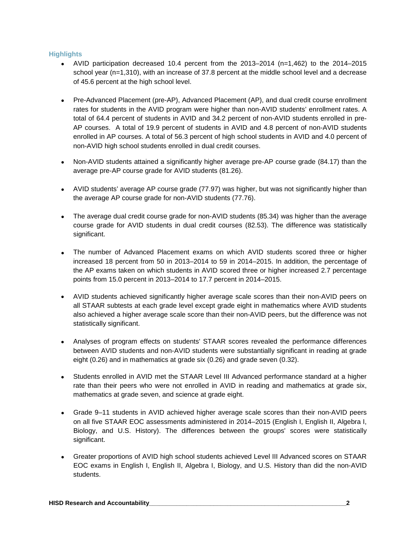#### **Highlights**

- AVID participation decreased 10.4 percent from the 2013–2014 (n=1,462) to the 2014–2015 school year (n=1,310), with an increase of 37.8 percent at the middle school level and a decrease of 45.6 percent at the high school level.
- Pre-Advanced Placement (pre-AP), Advanced Placement (AP), and dual credit course enrollment rates for students in the AVID program were higher than non-AVID students' enrollment rates. A total of 64.4 percent of students in AVID and 34.2 percent of non-AVID students enrolled in pre-AP courses. A total of 19.9 percent of students in AVID and 4.8 percent of non-AVID students enrolled in AP courses. A total of 56.3 percent of high school students in AVID and 4.0 percent of non-AVID high school students enrolled in dual credit courses.
- Non-AVID students attained a significantly higher average pre-AP course grade (84.17) than the average pre-AP course grade for AVID students (81.26).
- AVID students' average AP course grade (77.97) was higher, but was not significantly higher than the average AP course grade for non-AVID students (77.76).
- The average dual credit course grade for non-AVID students (85.34) was higher than the average course grade for AVID students in dual credit courses (82.53). The difference was statistically significant.
- The number of Advanced Placement exams on which AVID students scored three or higher increased 18 percent from 50 in 2013–2014 to 59 in 2014–2015. In addition, the percentage of the AP exams taken on which students in AVID scored three or higher increased 2.7 percentage points from 15.0 percent in 2013–2014 to 17.7 percent in 2014–2015.
- AVID students achieved significantly higher average scale scores than their non-AVID peers on all STAAR subtests at each grade level except grade eight in mathematics where AVID students also achieved a higher average scale score than their non-AVID peers, but the difference was not statistically significant.
- Analyses of program effects on students' STAAR scores revealed the performance differences between AVID students and non-AVID students were substantially significant in reading at grade eight (0.26) and in mathematics at grade six (0.26) and grade seven (0.32).
- Students enrolled in AVID met the STAAR Level III Advanced performance standard at a higher rate than their peers who were not enrolled in AVID in reading and mathematics at grade six, mathematics at grade seven, and science at grade eight.
- Grade 9–11 students in AVID achieved higher average scale scores than their non-AVID peers on all five STAAR EOC assessments administered in 2014–2015 (English I, English II, Algebra I, Biology, and U.S. History). The differences between the groups' scores were statistically significant.
- Greater proportions of AVID high school students achieved Level III Advanced scores on STAAR EOC exams in English I, English II, Algebra I, Biology, and U.S. History than did the non-AVID students.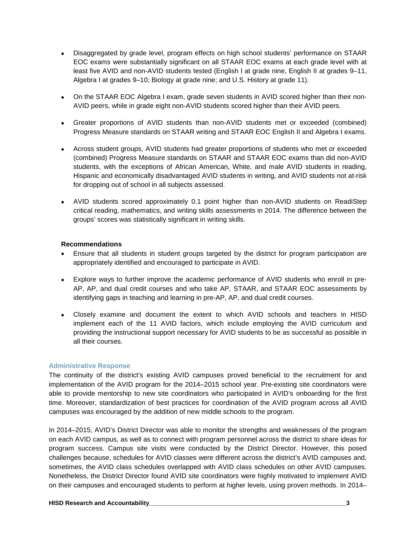- Disaggregated by grade level, program effects on high school students' performance on STAAR EOC exams were substantially significant on all STAAR EOC exams at each grade level with at least five AVID and non-AVID students tested (English I at grade nine, English II at grades 9–11, Algebra I at grades 9–10; Biology at grade nine; and U.S. History at grade 11).
- On the STAAR EOC Algebra I exam, grade seven students in AVID scored higher than their non-AVID peers, while in grade eight non-AVID students scored higher than their AVID peers.
- Greater proportions of AVID students than non-AVID students met or exceeded (combined) Progress Measure standards on STAAR writing and STAAR EOC English II and Algebra I exams.
- Across student groups, AVID students had greater proportions of students who met or exceeded (combined) Progress Measure standards on STAAR and STAAR EOC exams than did non-AVID students, with the exceptions of African American, White, and male AVID students in reading, Hispanic and economically disadvantaged AVID students in writing, and AVID students not at-risk for dropping out of school in all subjects assessed.
- AVID students scored approximately 0.1 point higher than non-AVID students on ReadiStep critical reading, mathematics, and writing skills assessments in 2014. The difference between the groups' scores was statistically significant in writing skills.

#### **Recommendations**

- Ensure that all students in student groups targeted by the district for program participation are appropriately identified and encouraged to participate in AVID.
- Explore ways to further improve the academic performance of AVID students who enroll in pre-AP, AP, and dual credit courses and who take AP, STAAR, and STAAR EOC assessments by identifying gaps in teaching and learning in pre-AP, AP, and dual credit courses.
- Closely examine and document the extent to which AVID schools and teachers in HISD implement each of the 11 AVID factors, which include employing the AVID curriculum and providing the instructional support necessary for AVID students to be as successful as possible in all their courses.

#### **Administrative Response**

The continuity of the district's existing AVID campuses proved beneficial to the recruitment for and implementation of the AVID program for the 2014–2015 school year. Pre-existing site coordinators were able to provide mentorship to new site coordinators who participated in AVID's onboarding for the first time. Moreover, standardization of best practices for coordination of the AVID program across all AVID campuses was encouraged by the addition of new middle schools to the program.

In 2014–2015, AVID's District Director was able to monitor the strengths and weaknesses of the program on each AVID campus, as well as to connect with program personnel across the district to share ideas for program success. Campus site visits were conducted by the District Director. However, this posed challenges because, schedules for AVID classes were different across the district's AVID campuses and, sometimes, the AVID class schedules overlapped with AVID class schedules on other AVID campuses. Nonetheless, the District Director found AVID site coordinators were highly motivated to implement AVID on their campuses and encouraged students to perform at higher levels, using proven methods. In 2014–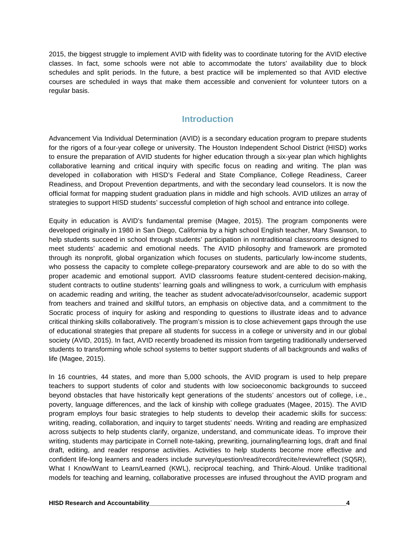2015, the biggest struggle to implement AVID with fidelity was to coordinate tutoring for the AVID elective classes. In fact, some schools were not able to accommodate the tutors' availability due to block schedules and split periods. In the future, a best practice will be implemented so that AVID elective courses are scheduled in ways that make them accessible and convenient for volunteer tutors on a regular basis.

#### **Introduction**

Advancement Via Individual Determination (AVID) is a secondary education program to prepare students for the rigors of a four-year college or university. The Houston Independent School District (HISD) works to ensure the preparation of AVID students for higher education through a six-year plan which highlights collaborative learning and critical inquiry with specific focus on reading and writing. The plan was developed in collaboration with HISD's Federal and State Compliance, College Readiness, Career Readiness, and Dropout Prevention departments, and with the secondary lead counselors. It is now the official format for mapping student graduation plans in middle and high schools. AVID utilizes an array of strategies to support HISD students' successful completion of high school and entrance into college.

Equity in education is AVID's fundamental premise (Magee, 2015). The program components were developed originally in 1980 in San Diego, California by a high school English teacher, Mary Swanson, to help students succeed in school through students' participation in nontraditional classrooms designed to meet students' academic and emotional needs. The AVID philosophy and framework are promoted through its nonprofit, global organization which focuses on students, particularly low-income students, who possess the capacity to complete college-preparatory coursework and are able to do so with the proper academic and emotional support. AVID classrooms feature student-centered decision-making, student contracts to outline students' learning goals and willingness to work, a curriculum with emphasis on academic reading and writing, the teacher as student advocate/advisor/counselor, academic support from teachers and trained and skillful tutors, an emphasis on objective data, and a commitment to the Socratic process of inquiry for asking and responding to questions to illustrate ideas and to advance critical thinking skills collaboratively. The program's mission is to close achievement gaps through the use of educational strategies that prepare all students for success in a college or university and in our global society (AVID, 2015). In fact, AVID recently broadened its mission from targeting traditionally underserved students to transforming whole school systems to better support students of all backgrounds and walks of life (Magee, 2015).

In 16 countries, 44 states, and more than 5,000 schools, the AVID program is used to help prepare teachers to support students of color and students with low socioeconomic backgrounds to succeed beyond obstacles that have historically kept generations of the students' ancestors out of college, i.e., poverty, language differences, and the lack of kinship with college graduates (Magee, 2015). The AVID program employs four basic strategies to help students to develop their academic skills for success: writing, reading, collaboration, and inquiry to target students' needs. Writing and reading are emphasized across subjects to help students clarify, organize, understand, and communicate ideas. To improve their writing, students may participate in Cornell note-taking, prewriting, journaling/learning logs, draft and final draft, editing, and reader response activities. Activities to help students become more effective and confident life-long learners and readers include survey/question/read/record/recite/review/reflect (SQ5R), What I Know/Want to Learn/Learned (KWL), reciprocal teaching, and Think-Aloud. Unlike traditional models for teaching and learning, collaborative processes are infused throughout the AVID program and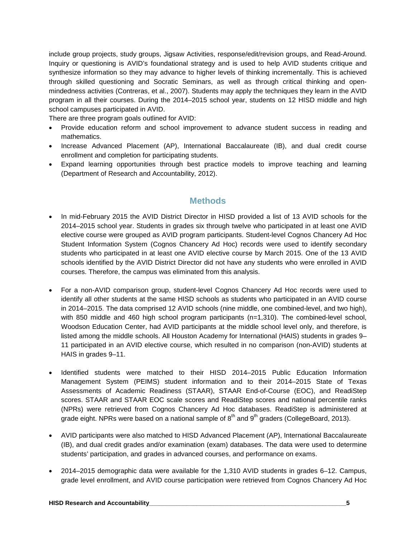include group projects, study groups, Jigsaw Activities, response/edit/revision groups, and Read-Around. Inquiry or questioning is AVID's foundational strategy and is used to help AVID students critique and synthesize information so they may advance to higher levels of thinking incrementally. This is achieved through skilled questioning and Socratic Seminars, as well as through critical thinking and openmindedness activities (Contreras, et al., 2007). Students may apply the techniques they learn in the AVID program in all their courses. During the 2014–2015 school year, students on 12 HISD middle and high school campuses participated in AVID.

There are three program goals outlined for AVID:

- Provide education reform and school improvement to advance student success in reading and mathematics.
- Increase Advanced Placement (AP), International Baccalaureate (IB), and dual credit course enrollment and completion for participating students.
- Expand learning opportunities through best practice models to improve teaching and learning (Department of Research and Accountability, 2012).

#### **Methods**

- In mid-February 2015 the AVID District Director in HISD provided a list of 13 AVID schools for the 2014–2015 school year. Students in grades six through twelve who participated in at least one AVID elective course were grouped as AVID program participants. Student-level Cognos Chancery Ad Hoc Student Information System (Cognos Chancery Ad Hoc) records were used to identify secondary students who participated in at least one AVID elective course by March 2015. One of the 13 AVID schools identified by the AVID District Director did not have any students who were enrolled in AVID courses. Therefore, the campus was eliminated from this analysis.
- For a non-AVID comparison group, student-level Cognos Chancery Ad Hoc records were used to identify all other students at the same HISD schools as students who participated in an AVID course in 2014–2015. The data comprised 12 AVID schools (nine middle, one combined-level, and two high), with 850 middle and 460 high school program participants (n=1,310). The combined-level school, Woodson Education Center, had AVID participants at the middle school level only, and therefore, is listed among the middle schools. All Houston Academy for International (HAIS) students in grades 9– 11 participated in an AVID elective course, which resulted in no comparison (non-AVID) students at HAIS in grades 9–11.
- Identified students were matched to their HISD 2014–2015 Public Education Information Management System (PEIMS) student information and to their 2014–2015 State of Texas Assessments of Academic Readiness (STAAR), STAAR End-of-Course (EOC), and ReadiStep scores. STAAR and STAAR EOC scale scores and ReadiStep scores and national percentile ranks (NPRs) were retrieved from Cognos Chancery Ad Hoc databases. ReadiStep is administered at grade eight. NPRs were based on a national sample of  $8<sup>th</sup>$  and  $9<sup>th</sup>$  graders (CollegeBoard, 2013).
- AVID participants were also matched to HISD Advanced Placement (AP), International Baccalaureate (IB), and dual credit grades and/or examination (exam) databases. The data were used to determine students' participation, and grades in advanced courses, and performance on exams.
- 2014–2015 demographic data were available for the 1,310 AVID students in grades 6–12. Campus, grade level enrollment, and AVID course participation were retrieved from Cognos Chancery Ad Hoc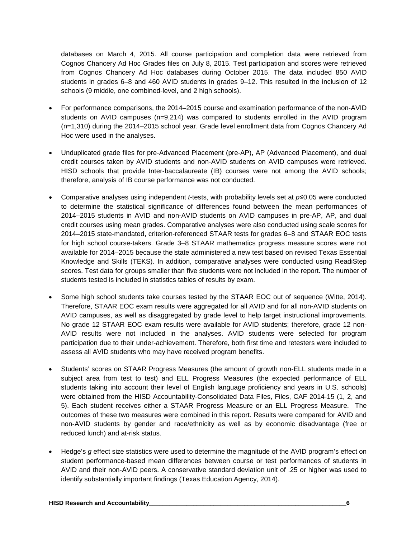databases on March 4, 2015. All course participation and completion data were retrieved from Cognos Chancery Ad Hoc Grades files on July 8, 2015. Test participation and scores were retrieved from Cognos Chancery Ad Hoc databases during October 2015. The data included 850 AVID students in grades 6–8 and 460 AVID students in grades 9–12. This resulted in the inclusion of 12 schools (9 middle, one combined-level, and 2 high schools).

- For performance comparisons, the 2014–2015 course and examination performance of the non-AVID students on AVID campuses (n=9,214) was compared to students enrolled in the AVID program (n=1,310) during the 2014–2015 school year. Grade level enrollment data from Cognos Chancery Ad Hoc were used in the analyses.
- Unduplicated grade files for pre-Advanced Placement (pre-AP), AP (Advanced Placement), and dual credit courses taken by AVID students and non-AVID students on AVID campuses were retrieved. HISD schools that provide Inter-baccalaureate (IB) courses were not among the AVID schools; therefore, analysis of IB course performance was not conducted.
- Comparative analyses using independent *t*-tests, with probability levels set at *p*≤0.05 were conducted to determine the statistical significance of differences found between the mean performances of 2014–2015 students in AVID and non-AVID students on AVID campuses in pre-AP, AP, and dual credit courses using mean grades. Comparative analyses were also conducted using scale scores for 2014–2015 state-mandated, criterion-referenced STAAR tests for grades 6–8 and STAAR EOC tests for high school course-takers. Grade 3–8 STAAR mathematics progress measure scores were not available for 2014–2015 because the state administered a new test based on revised Texas Essential Knowledge and Skills (TEKS). In addition, comparative analyses were conducted using ReadiStep scores. Test data for groups smaller than five students were not included in the report. The number of students tested is included in statistics tables of results by exam.
- Some high school students take courses tested by the STAAR EOC out of sequence (Witte, 2014). Therefore, STAAR EOC exam results were aggregated for all AVID and for all non-AVID students on AVID campuses, as well as disaggregated by grade level to help target instructional improvements. No grade 12 STAAR EOC exam results were available for AVID students; therefore, grade 12 non-AVID results were not included in the analyses. AVID students were selected for program participation due to their under-achievement. Therefore, both first time and retesters were included to assess all AVID students who may have received program benefits.
- Students' scores on STAAR Progress Measures (the amount of growth non-ELL students made in a subject area from test to test) and ELL Progress Measures (the expected performance of ELL students taking into account their level of English language proficiency and years in U.S. schools) were obtained from the HISD Accountability-Consolidated Data Files, Files, CAF 2014-15 (1, 2, and 5). Each student receives either a STAAR Progress Measure or an ELL Progress Measure. The outcomes of these two measures were combined in this report. Results were compared for AVID and non-AVID students by gender and race/ethnicity as well as by economic disadvantage (free or reduced lunch) and at-risk status.
- Hedge's *g* effect size statistics were used to determine the magnitude of the AVID program's effect on student performance-based mean differences between course or test performances of students in AVID and their non-AVID peers. A conservative standard deviation unit of .25 or higher was used to identify substantially important findings (Texas Education Agency, 2014).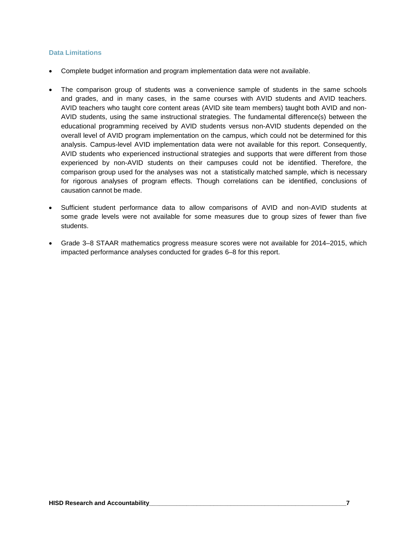#### **Data Limitations**

- Complete budget information and program implementation data were not available.
- The comparison group of students was a convenience sample of students in the same schools and grades, and in many cases, in the same courses with AVID students and AVID teachers. AVID teachers who taught core content areas (AVID site team members) taught both AVID and non-AVID students, using the same instructional strategies. The fundamental difference(s) between the educational programming received by AVID students versus non-AVID students depended on the overall level of AVID program implementation on the campus, which could not be determined for this analysis. Campus-level AVID implementation data were not available for this report. Consequently, AVID students who experienced instructional strategies and supports that were different from those experienced by non-AVID students on their campuses could not be identified. Therefore, the comparison group used for the analyses was not a statistically matched sample, which is necessary for rigorous analyses of program effects. Though correlations can be identified, conclusions of causation cannot be made.
- Sufficient student performance data to allow comparisons of AVID and non-AVID students at some grade levels were not available for some measures due to group sizes of fewer than five students.
- Grade 3–8 STAAR mathematics progress measure scores were not available for 2014–2015, which impacted performance analyses conducted for grades 6–8 for this report.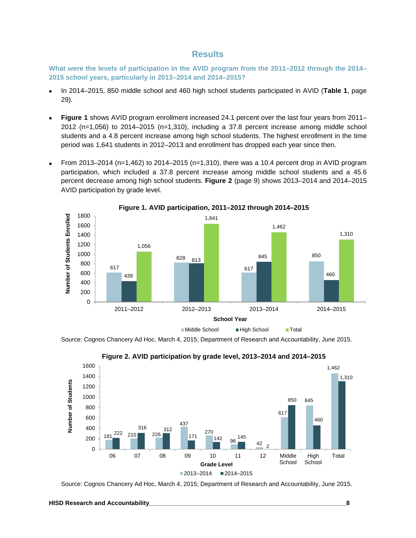#### **Results**

**What were the levels of participation in the AVID program from the 2011–2012 through the 2014– 2015 school years, particularly in 2013–2014 and 2014–2015?**

- In 2014–2015, 850 middle school and 460 high school students participated in AVID (**Table 1**, page 29).
- **Figure 1** shows AVID program enrollment increased 24.1 percent over the last four years from 2011– 2012 (n=1,056) to 2014–2015 (n=1,310), including a 37.8 percent increase among middle school students and a 4.8 percent increase among high school students. The highest enrollment in the time period was 1,641 students in 2012–2013 and enrollment has dropped each year since then.
- From 2013–2014 (n=1,462) to 2014–2015 (n=1,310), there was a 10.4 percent drop in AVID program participation, which included a 37.8 percent increase among middle school students and a 45.6 percent decrease among high school students. **Figure 2** (page 9) shows 2013–2014 and 2014–2015 AVID participation by grade level.



**Figure 1. AVID participation, 2011–2012 through 2014–2015**

Source: Cognos Chancery Ad Hoc, March 4, 2015; Department of Research and Accountability, June 2015.





Source: Cognos Chancery Ad Hoc, March 4, 2015; Department of Research and Accountability, June 2015.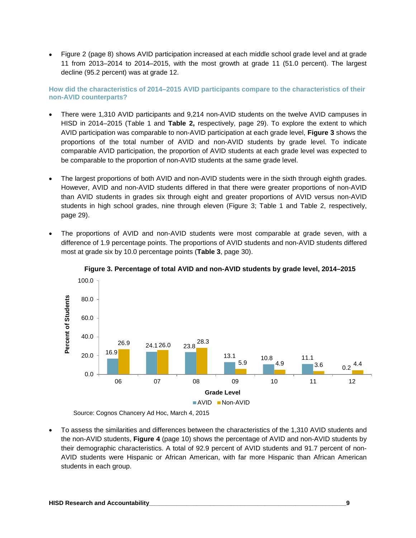• Figure 2 (page 8) shows AVID participation increased at each middle school grade level and at grade 11 from 2013–2014 to 2014–2015, with the most growth at grade 11 (51.0 percent). The largest decline (95.2 percent) was at grade 12.

**How did the characteristics of 2014–2015 AVID participants compare to the characteristics of their non-AVID counterparts?**

- There were 1,310 AVID participants and 9,214 non-AVID students on the twelve AVID campuses in HISD in 2014–2015 (Table 1 and **Table 2,** respectively, page 29). To explore the extent to which AVID participation was comparable to non-AVID participation at each grade level, **Figure 3** shows the proportions of the total number of AVID and non-AVID students by grade level. To indicate comparable AVID participation, the proportion of AVID students at each grade level was expected to be comparable to the proportion of non-AVID students at the same grade level.
- The largest proportions of both AVID and non-AVID students were in the sixth through eighth grades. However, AVID and non-AVID students differed in that there were greater proportions of non-AVID than AVID students in grades six through eight and greater proportions of AVID versus non-AVID students in high school grades, nine through eleven (Figure 3; Table 1 and Table 2, respectively, page 29).
- The proportions of AVID and non-AVID students were most comparable at grade seven, with a difference of 1.9 percentage points. The proportions of AVID students and non-AVID students differed most at grade six by 10.0 percentage points (**Table 3**, page 30).



**Figure 3. Percentage of total AVID and non-AVID students by grade level, 2014–2015**

Source: Cognos Chancery Ad Hoc, March 4, 2015

• To assess the similarities and differences between the characteristics of the 1,310 AVID students and the non-AVID students, **Figure 4** (page 10) shows the percentage of AVID and non-AVID students by their demographic characteristics. A total of 92.9 percent of AVID students and 91.7 percent of non-AVID students were Hispanic or African American, with far more Hispanic than African American students in each group.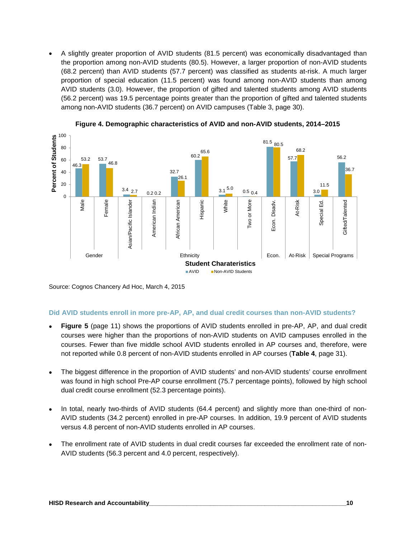• A slightly greater proportion of AVID students (81.5 percent) was economically disadvantaged than the proportion among non-AVID students (80.5). However, a larger proportion of non-AVID students (68.2 percent) than AVID students (57.7 percent) was classified as students at-risk. A much larger proportion of special education (11.5 percent) was found among non-AVID students than among AVID students (3.0). However, the proportion of gifted and talented students among AVID students (56.2 percent) was 19.5 percentage points greater than the proportion of gifted and talented students among non-AVID students (36.7 percent) on AVID campuses (Table 3, page 30).



**Figure 4. Demographic characteristics of AVID and non-AVID students, 2014–2015**

Source: Cognos Chancery Ad Hoc, March 4, 2015

#### **Did AVID students enroll in more pre-AP, AP, and dual credit courses than non-AVID students?**

- **Figure 5** (page 11) shows the proportions of AVID students enrolled in pre-AP, AP, and dual credit courses were higher than the proportions of non-AVID students on AVID campuses enrolled in the courses. Fewer than five middle school AVID students enrolled in AP courses and, therefore, were not reported while 0.8 percent of non-AVID students enrolled in AP courses (**Table 4**, page 31).
- The biggest difference in the proportion of AVID students' and non-AVID students' course enrollment was found in high school Pre-AP course enrollment (75.7 percentage points), followed by high school dual credit course enrollment (52.3 percentage points).
- In total, nearly two-thirds of AVID students (64.4 percent) and slightly more than one-third of non-AVID students (34.2 percent) enrolled in pre-AP courses. In addition, 19.9 percent of AVID students versus 4.8 percent of non-AVID students enrolled in AP courses.
- The enrollment rate of AVID students in dual credit courses far exceeded the enrollment rate of non-AVID students (56.3 percent and 4.0 percent, respectively).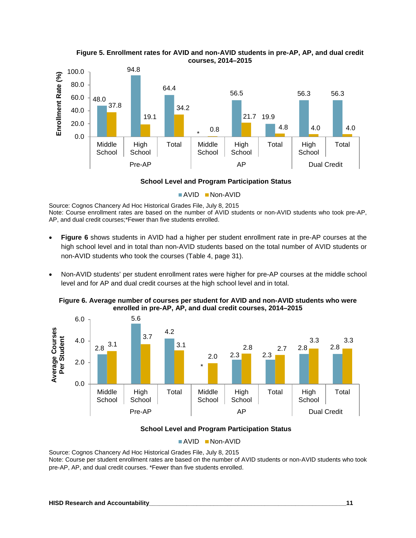

**Figure 5. Enrollment rates for AVID and non-AVID students in pre-AP, AP, and dual credit courses, 2014–2015**

#### **School Level and Program Participation Status**

 $\blacksquare$  AVID  $\blacksquare$  Non-AVID

Source: Cognos Chancery Ad Hoc Historical Grades File, July 8, 2015 Note: Course enrollment rates are based on the number of AVID students or non-AVID students who took pre-AP, AP, and dual credit courses;\*Fewer than five students enrolled.

- **Figure 6** shows students in AVID had a higher per student enrollment rate in pre-AP courses at the high school level and in total than non-AVID students based on the total number of AVID students or non-AVID students who took the courses (Table 4, page 31).
- Non-AVID students' per student enrollment rates were higher for pre-AP courses at the middle school level and for AP and dual credit courses at the high school level and in total.



**Figure 6. Average number of courses per student for AVID and non-AVID students who were enrolled in pre-AP, AP, and dual credit courses, 2014–2015**

#### **School Level and Program Participation Status**

#### $\blacksquare$  AVID  $\blacksquare$  Non-AVID

Source: Cognos Chancery Ad Hoc Historical Grades File, July 8, 2015

Note: Course per student enrollment rates are based on the number of AVID students or non-AVID students who took pre-AP, AP, and dual credit courses. \*Fewer than five students enrolled.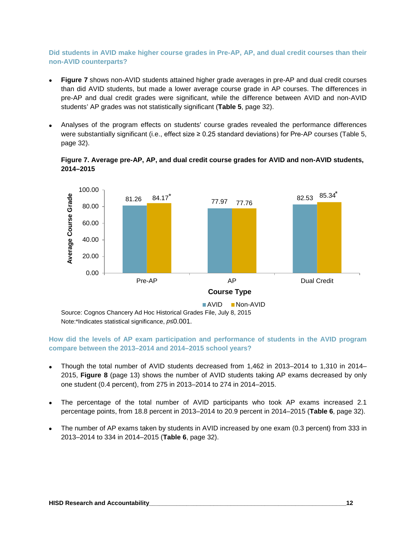#### **Did students in AVID make higher course grades in Pre-AP, AP, and dual credit courses than their non-AVID counterparts?**

- **Figure 7** shows non-AVID students attained higher grade averages in pre-AP and dual credit courses than did AVID students, but made a lower average course grade in AP courses. The differences in pre-AP and dual credit grades were significant, while the difference between AVID and non-AVID students' AP grades was not statistically significant (**Table 5**, page 32).
- Analyses of the program effects on students' course grades revealed the performance differences were substantially significant (i.e., effect size ≥ 0.25 standard deviations) for Pre-AP courses (Table 5, page 32).





Note:\*Indicates statistical significance, *p*≤0.001.

#### **How did the levels of AP exam participation and performance of students in the AVID program compare between the 2013–2014 and 2014–2015 school years?**

- Though the total number of AVID students decreased from 1,462 in 2013–2014 to 1,310 in 2014– 2015, **Figure 8** (page 13) shows the number of AVID students taking AP exams decreased by only one student (0.4 percent), from 275 in 2013–2014 to 274 in 2014–2015.
- The percentage of the total number of AVID participants who took AP exams increased 2.1 percentage points, from 18.8 percent in 2013–2014 to 20.9 percent in 2014–2015 (**Table 6**, page 32).
- The number of AP exams taken by students in AVID increased by one exam (0.3 percent) from 333 in 2013–2014 to 334 in 2014–2015 (**Table 6**, page 32).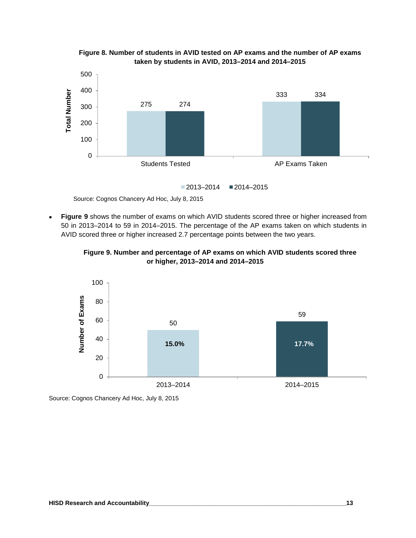

**Figure 8. Number of students in AVID tested on AP exams and the number of AP exams taken by students in AVID, 2013–2014 and 2014–2015**

Source: Cognos Chancery Ad Hoc, July 8, 2015

• **Figure 9** shows the number of exams on which AVID students scored three or higher increased from 50 in 2013–2014 to 59 in 2014–2015. The percentage of the AP exams taken on which students in AVID scored three or higher increased 2.7 percentage points between the two years.





Source: Cognos Chancery Ad Hoc, July 8, 2015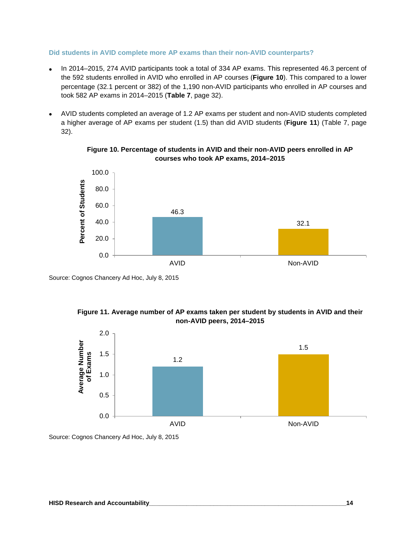#### **Did students in AVID complete more AP exams than their non-AVID counterparts?**

- In 2014–2015, 274 AVID participants took a total of 334 AP exams. This represented 46.3 percent of the 592 students enrolled in AVID who enrolled in AP courses (**Figure 10**). This compared to a lower percentage (32.1 percent or 382) of the 1,190 non-AVID participants who enrolled in AP courses and took 582 AP exams in 2014–2015 (**Table 7**, page 32).
- AVID students completed an average of 1.2 AP exams per student and non-AVID students completed a higher average of AP exams per student (1.5) than did AVID students (**Figure 11**) (Table 7, page 32).



**Figure 10. Percentage of students in AVID and their non-AVID peers enrolled in AP courses who took AP exams, 2014–2015**

Source: Cognos Chancery Ad Hoc, July 8, 2015





Source: Cognos Chancery Ad Hoc, July 8, 2015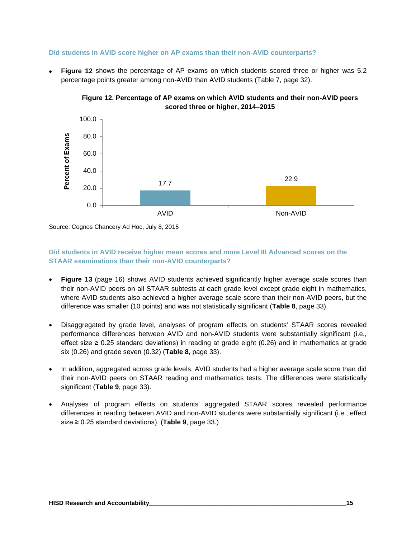#### **Did students in AVID score higher on AP exams than their non-AVID counterparts?**

• **Figure 12** shows the percentage of AP exams on which students scored three or higher was 5.2 percentage points greater among non-AVID than AVID students (Table 7, page 32).





Source: Cognos Chancery Ad Hoc, July 8, 2015

#### **Did students in AVID receive higher mean scores and more Level III Advanced scores on the STAAR examinations than their non-AVID counterparts?**

- **Figure 13** (page 16) shows AVID students achieved significantly higher average scale scores than their non-AVID peers on all STAAR subtests at each grade level except grade eight in mathematics, where AVID students also achieved a higher average scale score than their non-AVID peers, but the difference was smaller (10 points) and was not statistically significant (**Table 8**, page 33).
- Disaggregated by grade level, analyses of program effects on students' STAAR scores revealed performance differences between AVID and non-AVID students were substantially significant (i.e., effect size  $\geq$  0.25 standard deviations) in reading at grade eight (0.26) and in mathematics at grade six (0.26) and grade seven (0.32) (**Table 8**, page 33).
- In addition, aggregated across grade levels, AVID students had a higher average scale score than did their non-AVID peers on STAAR reading and mathematics tests. The differences were statistically significant (**Table 9**, page 33).
- Analyses of program effects on students' aggregated STAAR scores revealed performance differences in reading between AVID and non-AVID students were substantially significant (i.e., effect size ≥ 0.25 standard deviations). (**Table 9**, page 33.)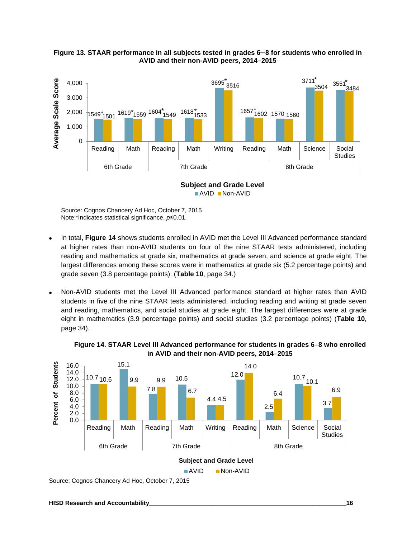



Source: Cognos Chancery Ad Hoc, October 7, 2015 Note:\*Indicates statistical significance, *p*≤0.01.

- In total, **Figure 14** shows students enrolled in AVID met the Level III Advanced performance standard at higher rates than non-AVID students on four of the nine STAAR tests administered, including reading and mathematics at grade six, mathematics at grade seven, and science at grade eight. The largest differences among these scores were in mathematics at grade six (5.2 percentage points) and grade seven (3.8 percentage points). (**Table 10**, page 34.)
- Non-AVID students met the Level III Advanced performance standard at higher rates than AVID students in five of the nine STAAR tests administered, including reading and writing at grade seven and reading, mathematics, and social studies at grade eight. The largest differences were at grade eight in mathematics (3.9 percentage points) and social studies (3.2 percentage points) (**Table 10**, page 34).



**Figure 14. STAAR Level III Advanced performance for students in grades 6–8 who enrolled in AVID and their non-AVID peers, 2014–2015**

Source: Cognos Chancery Ad Hoc, October 7, 2015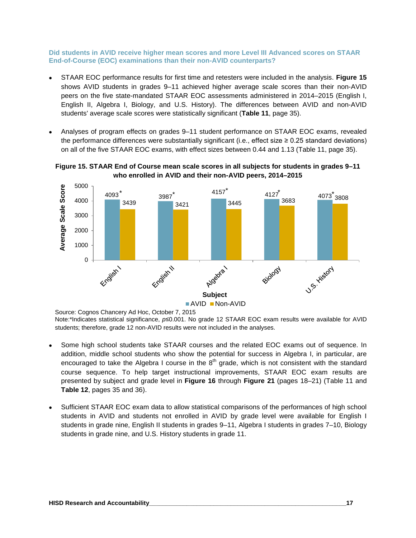#### **Did students in AVID receive higher mean scores and more Level III Advanced scores on STAAR End-of-Course (EOC) examinations than their non-AVID counterparts?**

- STAAR EOC performance results for first time and retesters were included in the analysis. **Figure 15** shows AVID students in grades 9–11 achieved higher average scale scores than their non-AVID peers on the five state-mandated STAAR EOC assessments administered in 2014–2015 (English I, English II, Algebra I, Biology, and U.S. History). The differences between AVID and non-AVID students' average scale scores were statistically significant (**Table 11**, page 35).
- Analyses of program effects on grades 9–11 student performance on STAAR EOC exams, revealed the performance differences were substantially significant (i.e., effect size  $\geq 0.25$  standard deviations) on all of the five STAAR EOC exams, with effect sizes between 0.44 and 1.13 (Table 11, page 35).

**Figure 15. STAAR End of Course mean scale scores in all subjects for students in grades 9–11 who enrolled in AVID and their non-AVID peers, 2014–2015**



Source: Cognos Chancery Ad Hoc, October 7, 2015

Note:\*Indicates statistical significance, *p*≤0.001. No grade 12 STAAR EOC exam results were available for AVID students; therefore, grade 12 non-AVID results were not included in the analyses.

- Some high school students take STAAR courses and the related EOC exams out of sequence. In addition, middle school students who show the potential for success in Algebra I, in particular, are encouraged to take the Algebra I course in the  $8<sup>th</sup>$  grade, which is not consistent with the standard course sequence. To help target instructional improvements, STAAR EOC exam results are presented by subject and grade level in **Figure 16** through **Figure 21** (pages 18–21) (Table 11 and **Table 12**, pages 35 and 36).
- Sufficient STAAR EOC exam data to allow statistical comparisons of the performances of high school students in AVID and students not enrolled in AVID by grade level were available for English I students in grade nine, English II students in grades 9–11, Algebra I students in grades 7–10, Biology students in grade nine, and U.S. History students in grade 11.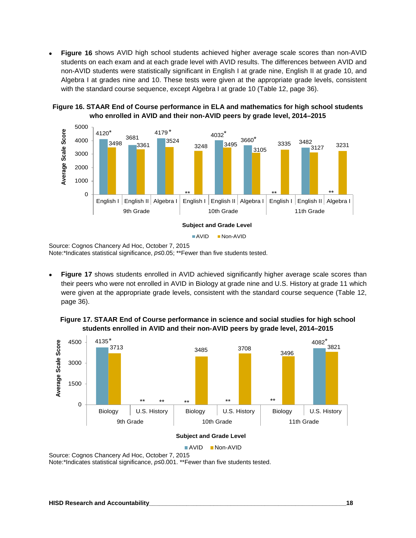• **Figure 16** shows AVID high school students achieved higher average scale scores than non-AVID students on each exam and at each grade level with AVID results. The differences between AVID and non-AVID students were statistically significant in English I at grade nine, English II at grade 10, and Algebra I at grades nine and 10. These tests were given at the appropriate grade levels, consistent with the standard course sequence, except Algebra I at grade 10 (Table 12, page 36).



**Figure 16. STAAR End of Course performance in ELA and mathematics for high school students who enrolled in AVID and their non-AVID peers by grade level, 2014–2015**

**Figure 17** shows students enrolled in AVID achieved significantly higher average scale scores than their peers who were not enrolled in AVID in Biology at grade nine and U.S. History at grade 11 which were given at the appropriate grade levels, consistent with the standard course sequence (Table 12, page 36).

**Figure 17. STAAR End of Course performance in science and social studies for high school students enrolled in AVID and their non-AVID peers by grade level, 2014–2015**



Source: Cognos Chancery Ad Hoc, October 7, 2015

Note:\*Indicates statistical significance, *p*≤0.001. \*\*Fewer than five students tested.

Source: Cognos Chancery Ad Hoc, October 7, 2015 Note:\*Indicates statistical significance, *p*≤0.05; \*\*Fewer than five students tested.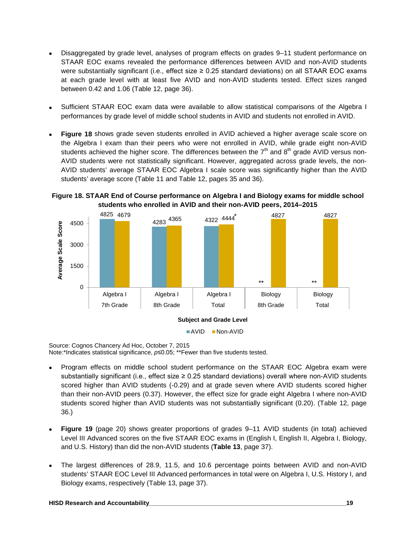- Disaggregated by grade level, analyses of program effects on grades 9–11 student performance on STAAR EOC exams revealed the performance differences between AVID and non-AVID students were substantially significant (i.e., effect size ≥ 0.25 standard deviations) on all STAAR EOC exams at each grade level with at least five AVID and non-AVID students tested. Effect sizes ranged between 0.42 and 1.06 (Table 12, page 36).
- Sufficient STAAR EOC exam data were available to allow statistical comparisons of the Algebra I performances by grade level of middle school students in AVID and students not enrolled in AVID.
- **Figure 18** shows grade seven students enrolled in AVID achieved a higher average scale score on the Algebra I exam than their peers who were not enrolled in AVID, while grade eight non-AVID students achieved the higher score. The differences between the  $7<sup>th</sup>$  and  $8<sup>th</sup>$  grade AVID versus non-AVID students were not statistically significant. However, aggregated across grade levels, the non-AVID students' average STAAR EOC Algebra I scale score was significantly higher than the AVID students' average score (Table 11 and Table 12, pages 35 and 36).

**Figure 18. STAAR End of Course performance on Algebra I and Biology exams for middle school students who enrolled in AVID and their non-AVID peers, 2014–2015**



Source: Cognos Chancery Ad Hoc, October 7, 2015 Note:\*Indicates statistical significance, *p*≤0.05; \*\*Fewer than five students tested.

- Program effects on middle school student performance on the STAAR EOC Algebra exam were substantially significant (i.e., effect size ≥ 0.25 standard deviations) overall where non-AVID students scored higher than AVID students (-0.29) and at grade seven where AVID students scored higher than their non-AVID peers (0.37). However, the effect size for grade eight Algebra I where non-AVID students scored higher than AVID students was not substantially significant (0.20). (Table 12, page 36.)
- **Figure 19** (page 20) shows greater proportions of grades 9–11 AVID students (in total) achieved Level III Advanced scores on the five STAAR EOC exams in (English I, English II, Algebra I, Biology, and U.S. History) than did the non-AVID students (**Table 13**, page 37).
- The largest differences of 28.9, 11.5, and 10.6 percentage points between AVID and non-AVID students' STAAR EOC Level III Advanced performances in total were on Algebra I, U.S. History I, and Biology exams, respectively (Table 13, page 37).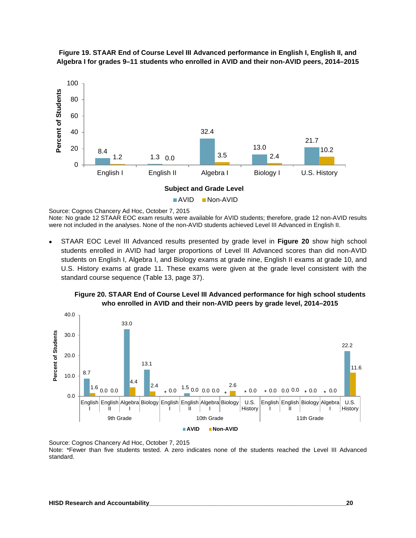

**Figure 19. STAAR End of Course Level III Advanced performance in English I, English II, and Algebra I for grades 9–11 students who enrolled in AVID and their non-AVID peers, 2014–2015**

Source: Cognos Chancery Ad Hoc, October 7, 2015 Note: No grade 12 STAAR EOC exam results were available for AVID students; therefore, grade 12 non-AVID results were not included in the analyses. None of the non-AVID students achieved Level III Advanced in English II.

• STAAR EOC Level III Advanced results presented by grade level in **Figure 20** show high school students enrolled in AVID had larger proportions of Level III Advanced scores than did non-AVID students on English I, Algebra I, and Biology exams at grade nine, English II exams at grade 10, and U.S. History exams at grade 11. These exams were given at the grade level consistent with the standard course sequence (Table 13, page 37).





Source: Cognos Chancery Ad Hoc, October 7, 2015 Note: \*Fewer than five students tested. A zero indicates none of the students reached the Level III Advanced standard.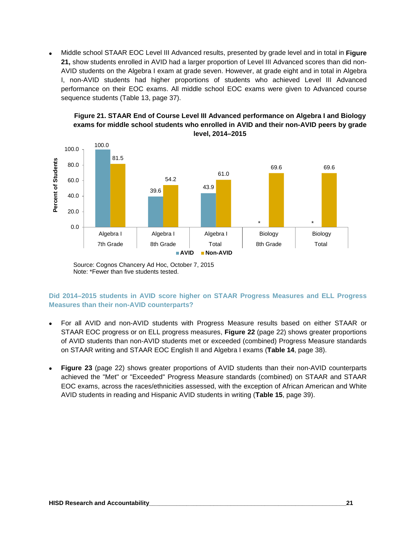• Middle school STAAR EOC Level III Advanced results, presented by grade level and in total in **Figure 21,** show students enrolled in AVID had a larger proportion of Level III Advanced scores than did non-AVID students on the Algebra I exam at grade seven. However, at grade eight and in total in Algebra I, non-AVID students had higher proportions of students who achieved Level III Advanced performance on their EOC exams. All middle school EOC exams were given to Advanced course sequence students (Table 13, page 37).



**Figure 21. STAAR End of Course Level III Advanced performance on Algebra I and Biology exams for middle school students who enrolled in AVID and their non-AVID peers by grade level, 2014–2015**

Source: Cognos Chancery Ad Hoc, October 7, 2015 Note: \*Fewer than five students tested.

#### **Did 2014–2015 students in AVID score higher on STAAR Progress Measures and ELL Progress Measures than their non-AVID counterparts?**

- For all AVID and non-AVID students with Progress Measure results based on either STAAR or STAAR EOC progress or on ELL progress measures, **Figure 22** (page 22) shows greater proportions of AVID students than non-AVID students met or exceeded (combined) Progress Measure standards on STAAR writing and STAAR EOC English II and Algebra I exams (**Table 14**, page 38).
- **Figure 23** (page 22) shows greater proportions of AVID students than their non-AVID counterparts achieved the "Met" or "Exceeded" Progress Measure standards (combined) on STAAR and STAAR EOC exams, across the races/ethnicities assessed, with the exception of African American and White AVID students in reading and Hispanic AVID students in writing (**Table 15**, page 39).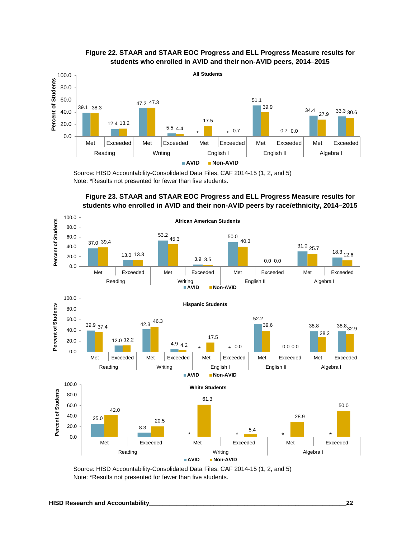

#### **Figure 22. STAAR and STAAR EOC Progress and ELL Progress Measure results for students who enrolled in AVID and their non-AVID peers, 2014–2015**

Source: HISD Accountability-Consolidated Data Files, CAF 2014-15 (1, 2, and 5) Note: \*Results not presented for fewer than five students.





Source: HISD Accountability-Consolidated Data Files, CAF 2014-15 (1, 2, and 5) Note: \*Results not presented for fewer than five students.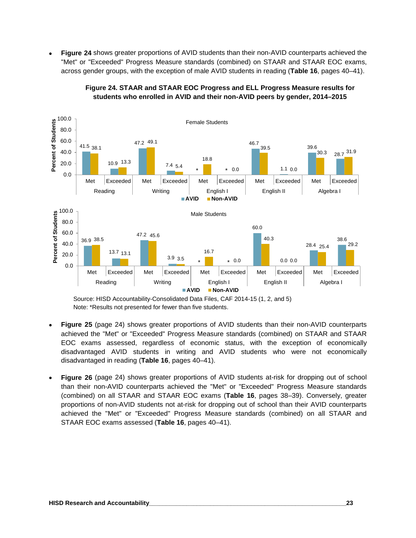• **Figure 24** shows greater proportions of AVID students than their non-AVID counterparts achieved the "Met" or "Exceeded" Progress Measure standards (combined) on STAAR and STAAR EOC exams, across gender groups, with the exception of male AVID students in reading (**Table 16**, pages 40–41).





- **Figure 25** (page 24) shows greater proportions of AVID students than their non-AVID counterparts achieved the "Met" or "Exceeded" Progress Measure standards (combined) on STAAR and STAAR EOC exams assessed, regardless of economic status, with the exception of economically disadvantaged AVID students in writing and AVID students who were not economically disadvantaged in reading (**Table 16**, pages 40–41).
- **Figure 26** (page 24) shows greater proportions of AVID students at-risk for dropping out of school than their non-AVID counterparts achieved the "Met" or "Exceeded" Progress Measure standards (combined) on all STAAR and STAAR EOC exams (**Table 16**, pages 38–39). Conversely, greater proportions of non-AVID students not at-risk for dropping out of school than their AVID counterparts achieved the "Met" or "Exceeded" Progress Measure standards (combined) on all STAAR and STAAR EOC exams assessed (**Table 16**, pages 40–41).

Source: HISD Accountability-Consolidated Data Files, CAF 2014-15 (1, 2, and 5) Note: \*Results not presented for fewer than five students.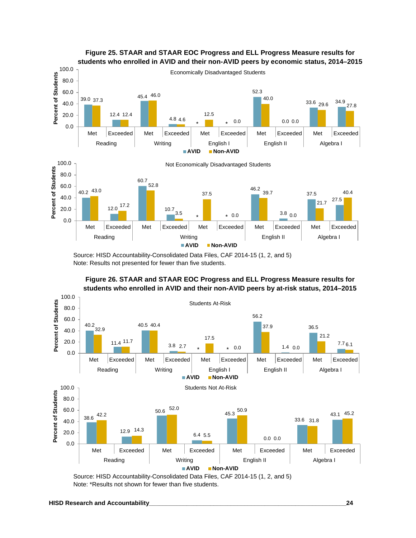

**Figure 25. STAAR and STAAR EOC Progress and ELL Progress Measure results for** 

Source: HISD Accountability-Consolidated Data Files, CAF 2014-15 (1, 2, and 5) Note: Results not presented for fewer than five students.



**Figure 26. STAAR and STAAR EOC Progress and ELL Progress Measure results for students who enrolled in AVID and their non-AVID peers by at-risk status, 2014–2015**

Source: HISD Accountability-Consolidated Data Files, CAF 2014-15 (1, 2, and 5) Note: \*Results not shown for fewer than five students.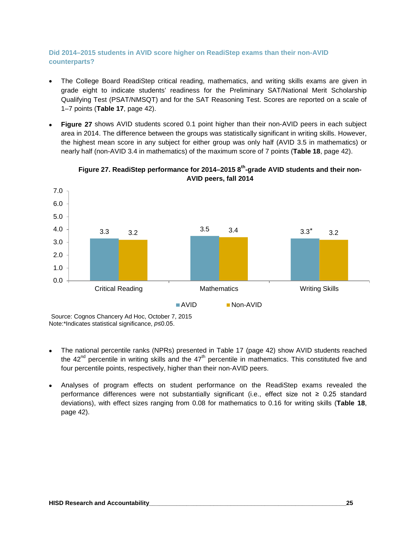#### **Did 2014–2015 students in AVID score higher on ReadiStep exams than their non-AVID counterparts?**

- The College Board ReadiStep critical reading, mathematics, and writing skills exams are given in grade eight to indicate students' readiness for the Preliminary SAT/National Merit Scholarship Qualifying Test (PSAT/NMSQT) and for the SAT Reasoning Test. Scores are reported on a scale of 1–7 points (**Table 17**, page 42).
- **Figure 27** shows AVID students scored 0.1 point higher than their non-AVID peers in each subject area in 2014. The difference between the groups was statistically significant in writing skills. However, the highest mean score in any subject for either group was only half (AVID 3.5 in mathematics) or nearly half (non-AVID 3.4 in mathematics) of the maximum score of 7 points (**Table 18**, page 42).





- The national percentile ranks (NPRs) presented in Table 17 (page 42) show AVID students reached the  $42<sup>nd</sup>$  percentile in writing skills and the  $47<sup>th</sup>$  percentile in mathematics. This constituted five and four percentile points, respectively, higher than their non-AVID peers.
- Analyses of program effects on student performance on the ReadiStep exams revealed the performance differences were not substantially significant (i.e., effect size not ≥ 0.25 standard deviations), with effect sizes ranging from 0.08 for mathematics to 0.16 for writing skills (**Table 18**, page 42).

Source: Cognos Chancery Ad Hoc, October 7, 2015 Note:\*Indicates statistical significance, *p*≤0.05.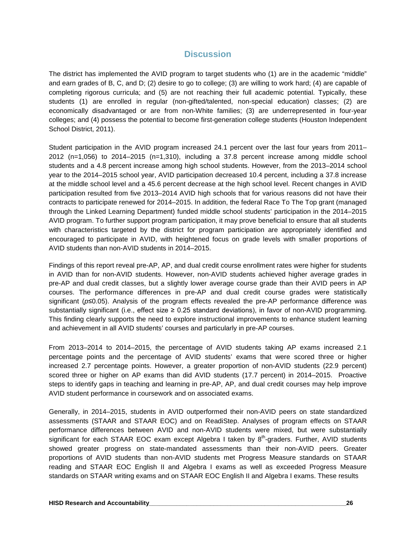#### **Discussion**

The district has implemented the AVID program to target students who (1) are in the academic "middle" and earn grades of B, C, and D; (2) desire to go to college; (3) are willing to work hard; (4) are capable of completing rigorous curricula; and (5) are not reaching their full academic potential. Typically, these students (1) are enrolled in regular (non-gifted/talented, non-special education) classes; (2) are economically disadvantaged or are from non-White families; (3) are underrepresented in four-year colleges; and (4) possess the potential to become first-generation college students (Houston Independent School District, 2011).

Student participation in the AVID program increased 24.1 percent over the last four years from 2011– 2012 (n=1,056) to 2014–2015 (n=1,310), including a 37.8 percent increase among middle school students and a 4.8 percent increase among high school students. However, from the 2013–2014 school year to the 2014–2015 school year, AVID participation decreased 10.4 percent, including a 37.8 increase at the middle school level and a 45.6 percent decrease at the high school level. Recent changes in AVID participation resulted from five 2013–2014 AVID high schools that for various reasons did not have their contracts to participate renewed for 2014–2015. In addition, the federal Race To The Top grant (managed through the Linked Learning Department) funded middle school students' participation in the 2014–2015 AVID program. To further support program participation, it may prove beneficial to ensure that all students with characteristics targeted by the district for program participation are appropriately identified and encouraged to participate in AVID, with heightened focus on grade levels with smaller proportions of AVID students than non-AVID students in 2014–2015.

Findings of this report reveal pre-AP, AP, and dual credit course enrollment rates were higher for students in AVID than for non-AVID students. However, non-AVID students achieved higher average grades in pre-AP and dual credit classes, but a slightly lower average course grade than their AVID peers in AP courses. The performance differences in pre-AP and dual credit course grades were statistically significant (*p*≤0.05). Analysis of the program effects revealed the pre-AP performance difference was substantially significant (i.e., effect size ≥ 0.25 standard deviations), in favor of non-AVID programming. This finding clearly supports the need to explore instructional improvements to enhance student learning and achievement in all AVID students' courses and particularly in pre-AP courses.

From 2013–2014 to 2014–2015, the percentage of AVID students taking AP exams increased 2.1 percentage points and the percentage of AVID students' exams that were scored three or higher increased 2.7 percentage points. However, a greater proportion of non-AVID students (22.9 percent) scored three or higher on AP exams than did AVID students (17.7 percent) in 2014–2015. Proactive steps to identify gaps in teaching and learning in pre-AP, AP, and dual credit courses may help improve AVID student performance in coursework and on associated exams.

Generally, in 2014–2015, students in AVID outperformed their non-AVID peers on state standardized assessments (STAAR and STAAR EOC) and on ReadiStep. Analyses of program effects on STAAR performance differences between AVID and non-AVID students were mixed, but were substantially significant for each STAAR EOC exam except Algebra I taken by 8<sup>th</sup>-graders. Further, AVID students showed greater progress on state-mandated assessments than their non-AVID peers. Greater proportions of AVID students than non-AVID students met Progress Measure standards on STAAR reading and STAAR EOC English II and Algebra I exams as well as exceeded Progress Measure standards on STAAR writing exams and on STAAR EOC English II and Algebra I exams. These results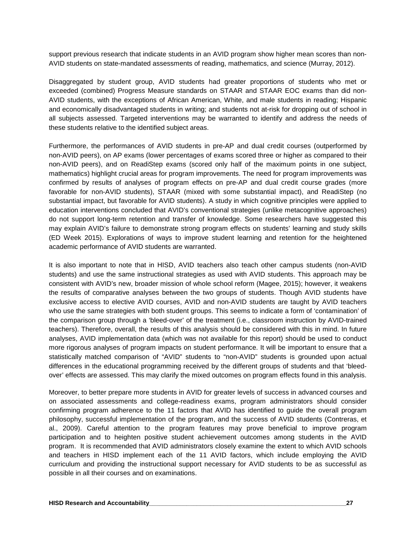support previous research that indicate students in an AVID program show higher mean scores than non-AVID students on state-mandated assessments of reading, mathematics, and science (Murray, 2012).

Disaggregated by student group, AVID students had greater proportions of students who met or exceeded (combined) Progress Measure standards on STAAR and STAAR EOC exams than did non-AVID students, with the exceptions of African American, White, and male students in reading; Hispanic and economically disadvantaged students in writing; and students not at-risk for dropping out of school in all subjects assessed. Targeted interventions may be warranted to identify and address the needs of these students relative to the identified subject areas.

Furthermore, the performances of AVID students in pre-AP and dual credit courses (outperformed by non-AVID peers), on AP exams (lower percentages of exams scored three or higher as compared to their non-AVID peers), and on ReadiStep exams (scored only half of the maximum points in one subject, mathematics) highlight crucial areas for program improvements. The need for program improvements was confirmed by results of analyses of program effects on pre-AP and dual credit course grades (more favorable for non-AVID students), STAAR (mixed with some substantial impact), and ReadiStep (no substantial impact, but favorable for AVID students). A study in which cognitive principles were applied to education interventions concluded that AVID's conventional strategies (unlike metacognitive approaches) do not support long-term retention and transfer of knowledge. Some researchers have suggested this may explain AVID's failure to demonstrate strong program effects on students' learning and study skills (ED Week 2015). Explorations of ways to improve student learning and retention for the heightened academic performance of AVID students are warranted.

It is also important to note that in HISD, AVID teachers also teach other campus students (non-AVID students) and use the same instructional strategies as used with AVID students. This approach may be consistent with AVID's new, broader mission of whole school reform (Magee, 2015); however, it weakens the results of comparative analyses between the two groups of students. Though AVID students have exclusive access to elective AVID courses, AVID and non-AVID students are taught by AVID teachers who use the same strategies with both student groups. This seems to indicate a form of 'contamination' of the comparison group through a 'bleed-over' of the treatment (i.e., classroom instruction by AVID-trained teachers). Therefore, overall, the results of this analysis should be considered with this in mind. In future analyses, AVID implementation data (which was not available for this report) should be used to conduct more rigorous analyses of program impacts on student performance. It will be important to ensure that a statistically matched comparison of "AVID" students to "non-AVID" students is grounded upon actual differences in the educational programming received by the different groups of students and that 'bleedover' effects are assessed. This may clarify the mixed outcomes on program effects found in this analysis.

Moreover, to better prepare more students in AVID for greater levels of success in advanced courses and on associated assessments and college-readiness exams, program administrators should consider confirming program adherence to the 11 factors that AVID has identified to guide the overall program philosophy, successful implementation of the program, and the success of AVID students (Contreras, et al., 2009). Careful attention to the program features may prove beneficial to improve program participation and to heighten positive student achievement outcomes among students in the AVID program. It is recommended that AVID administrators closely examine the extent to which AVID schools and teachers in HISD implement each of the 11 AVID factors, which include employing the AVID curriculum and providing the instructional support necessary for AVID students to be as successful as possible in all their courses and on examinations.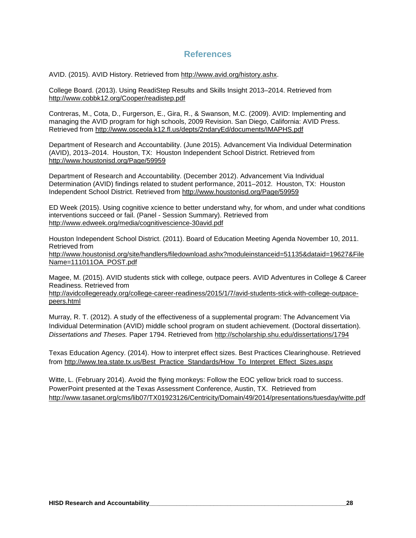#### **References**

AVID. (2015). AVID History. Retrieved from http://www.avid.org/history.ashx.

College Board. (2013). Using ReadiStep Results and Skills Insight 2013–2014. Retrieved from http://www.cobbk12.org/Cooper/readistep.pdf

Contreras, M., Cota, D., Furgerson, E., Gira, R., & Swanson, M.C. (2009). AVID: Implementing and managing the AVID program for high schools, 2009 Revision. San Diego, California: AVID Press. Retrieved from http://www.osceola.k12.fl.us/depts/2ndaryEd/documents/IMAPHS.pdf

Department of Research and Accountability. (June 2015). Advancement Via Individual Determination (AVID), 2013–2014. Houston, TX: Houston Independent School District. Retrieved from <http://www.houstonisd.org/Page/59959>

Department of Research and Accountability. (December 2012). Advancement Via Individual Determination (AVID) findings related to student performance, 2011–2012. Houston, TX: Houston Independent School District. Retrieved from <http://www.houstonisd.org/Page/59959>

ED Week (2015). Using cognitive xcience to better understand why, for whom, and under what conditions interventions succeed or fail. (Panel - Session Summary). Retrieved from http://www.edweek.org/media/cognitivescience-30avid.pdf

Houston Independent School District. (2011). Board of Education Meeting Agenda November 10, 2011. Retrieved from http://www.houstonisd.org/site/handlers/filedownload.ashx?moduleinstanceid=51135&dataid=19627&File Name=111011OA\_POST.pdf

Magee, M. (2015). AVID students stick with college, outpace peers. AVID Adventures in College & Career Readiness. Retrieved from

http://avidcollegeready.org/college-career-readiness/2015/1/7/avid-students-stick-with-college-outpacepeers.html

Murray, R. T. (2012). A study of the effectiveness of a supplemental program: The Advancement Via Individual Determination (AVID) middle school program on student achievement. (Doctoral dissertation). *Dissertations and Theses.* Paper 1794. Retrieved from http://scholarship.shu.edu/dissertations/1794

Texas Education Agency. (2014). How to interpret effect sizes. Best Practices Clearinghouse. Retrieved from http://www.tea.state.tx.us/Best\_Practice\_Standards/How\_To\_Interpret\_Effect\_Sizes.aspx

Witte, L. (February 2014). Avoid the flying monkeys: Follow the EOC yellow brick road to success. PowerPoint presented at the Texas Assessment Conference, Austin, TX. Retrieved from <http://www.tasanet.org/cms/lib07/TX01923126/Centricity/Domain/49/2014/presentations/tuesday/witte.pdf>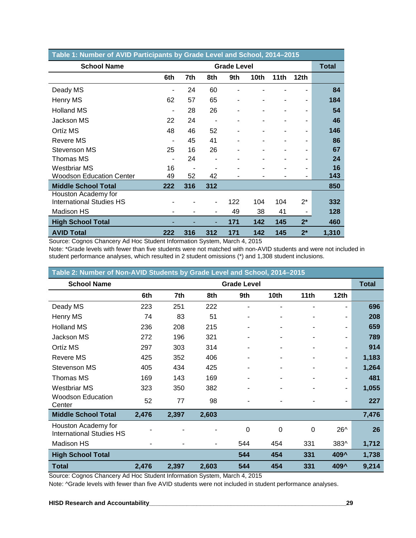| Table 1: Number of AVID Participants by Grade Level and School, 2014-2015 |                |     |                          |                    |      |      |                  |       |  |  |  |
|---------------------------------------------------------------------------|----------------|-----|--------------------------|--------------------|------|------|------------------|-------|--|--|--|
| <b>School Name</b>                                                        |                |     |                          | <b>Grade Level</b> |      |      |                  | Total |  |  |  |
|                                                                           | 6th            | 7th | 8th                      | 9th                | 10th | 11th | 12 <sub>th</sub> |       |  |  |  |
| Deady MS                                                                  |                | 24  | 60                       |                    |      |      |                  | 84    |  |  |  |
| Henry MS                                                                  | 62             | 57  | 65                       |                    |      |      |                  | 184   |  |  |  |
| <b>Holland MS</b>                                                         | ä,             | 28  | 26                       |                    |      |      |                  | 54    |  |  |  |
| Jackson MS                                                                | 22             | 24  | $\overline{\phantom{a}}$ |                    |      |      |                  | 46    |  |  |  |
| Ortíz MS                                                                  | 48             | 46  | 52                       |                    |      |      |                  | 146   |  |  |  |
| Revere MS                                                                 | $\overline{a}$ | 45  | 41                       |                    |      |      |                  | 86    |  |  |  |
| Stevenson MS                                                              | 25             | 16  | 26                       |                    |      |      |                  | 67    |  |  |  |
| Thomas MS                                                                 | ٠              | 24  | ٠                        |                    |      |      | $\blacksquare$   | 24    |  |  |  |
| Westbriar MS                                                              | 16             |     |                          |                    |      |      |                  | 16    |  |  |  |
| <b>Woodson Education Center</b>                                           | 49             | 52  | 42                       |                    |      |      |                  | 143   |  |  |  |
| <b>Middle School Total</b>                                                | 222            | 316 | 312                      |                    |      |      |                  | 850   |  |  |  |
| Houston Academy for                                                       |                |     |                          |                    |      |      |                  |       |  |  |  |
| <b>International Studies HS</b>                                           |                |     | ٠                        | 122                | 104  | 104  | $2^*$            | 332   |  |  |  |
| Madison HS                                                                |                |     | ٠                        | 49                 | 38   | 41   | ۰                | 128   |  |  |  |
| <b>High School Total</b>                                                  |                |     | ٠                        | 171                | 142  | 145  | $2^*$            | 460   |  |  |  |
| <b>AVID Total</b>                                                         | 222            | 316 | 312                      | 171                | 142  | 145  | $2^*$            | 1,310 |  |  |  |

Source: Cognos Chancery Ad Hoc Student Information System, March 4, 2015

Note: \*Grade levels with fewer than five students were not matched with non-AVID students and were not included in student performance analyses, which resulted in 2 student omissions (\*) and 1,308 student inclusions.

| Table 2: Number of Non-AVID Students by Grade Level and School, 2014-2015 |       |       |                |                    |                  |                          |                |              |  |  |  |
|---------------------------------------------------------------------------|-------|-------|----------------|--------------------|------------------|--------------------------|----------------|--------------|--|--|--|
| <b>School Name</b>                                                        |       |       |                | <b>Grade Level</b> |                  |                          |                | <b>Total</b> |  |  |  |
|                                                                           | 6th   | 7th   | 8th            | 9th                | 10 <sub>th</sub> | 11 <sub>th</sub>         | 12th           |              |  |  |  |
| Deady MS                                                                  | 223   | 251   | 222            | $\blacksquare$     | ۰                | ۰                        | $\blacksquare$ | 696          |  |  |  |
| Henry MS                                                                  | 74    | 83    | 51             |                    |                  |                          | $\blacksquare$ | 208          |  |  |  |
| <b>Holland MS</b>                                                         | 236   | 208   | 215            |                    |                  |                          | $\blacksquare$ | 659          |  |  |  |
| Jackson MS                                                                | 272   | 196   | 321            |                    |                  |                          | -              | 789          |  |  |  |
| Ortíz MS                                                                  | 297   | 303   | 314            |                    | ۰                | $\overline{\phantom{a}}$ | $\blacksquare$ | 914          |  |  |  |
| <b>Revere MS</b>                                                          | 425   | 352   | 406            |                    |                  |                          | $\blacksquare$ | 1,183        |  |  |  |
| Stevenson MS                                                              | 405   | 434   | 425            |                    |                  |                          | -              | 1,264        |  |  |  |
| Thomas MS                                                                 | 169   | 143   | 169            |                    | ۰                | ۰                        | ۰              | 481          |  |  |  |
| <b>Westbriar MS</b>                                                       | 323   | 350   | 382            | ۰                  | ۰                | ۰                        | $\blacksquare$ | 1,055        |  |  |  |
| <b>Woodson Education</b><br>Center                                        | 52    | 77    | 98             |                    |                  |                          | $\blacksquare$ | 227          |  |  |  |
| <b>Middle School Total</b>                                                | 2,476 | 2,397 | 2,603          |                    |                  |                          |                | 7,476        |  |  |  |
| Houston Academy for<br><b>International Studies HS</b>                    |       |       |                | 0                  | 0                | 0                        | 26^            | 26           |  |  |  |
| Madison HS                                                                |       |       | $\blacksquare$ | 544                | 454              | 331                      | 383^           | 1,712        |  |  |  |
| <b>High School Total</b>                                                  |       |       |                | 544                | 454              | 331                      | 409^           | 1,738        |  |  |  |
| <b>Total</b>                                                              | 2,476 | 2,397 | 2,603          | 544                | 454              | 331                      | 409^           | 9,214        |  |  |  |

Source: Cognos Chancery Ad Hoc Student Information System, March 4, 2015

Note: ^Grade levels with fewer than five AVID students were not included in student performance analyses.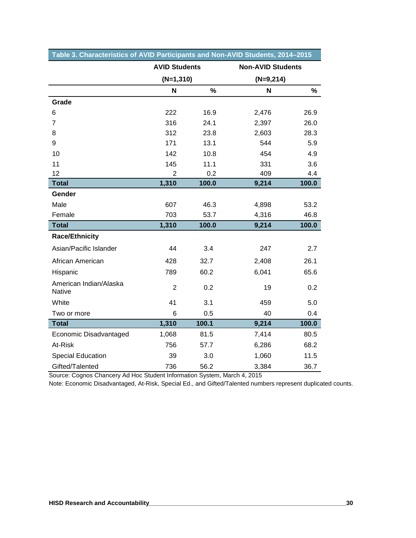|                                  | <b>AVID Students</b> |       | <b>Non-AVID Students</b> |       |
|----------------------------------|----------------------|-------|--------------------------|-------|
|                                  | $(N=1,310)$          |       | $(N=9,214)$              |       |
|                                  | N                    | %     | N                        | %     |
| Grade                            |                      |       |                          |       |
| $6\phantom{1}6$                  | 222                  | 16.9  | 2,476                    | 26.9  |
| $\overline{7}$                   | 316                  | 24.1  | 2,397                    | 26.0  |
| 8                                | 312                  | 23.8  | 2,603                    | 28.3  |
| 9                                | 171                  | 13.1  | 544                      | 5.9   |
| 10                               | 142                  | 10.8  | 454                      | 4.9   |
| 11                               | 145                  | 11.1  | 331                      | 3.6   |
| 12                               | $\overline{2}$       | 0.2   | 409                      | 4.4   |
| <b>Total</b>                     | 1,310                | 100.0 | 9,214                    | 100.0 |
| Gender                           |                      |       |                          |       |
| Male                             | 607                  | 46.3  | 4,898                    | 53.2  |
| Female                           | 703                  | 53.7  | 4,316                    | 46.8  |
| <b>Total</b>                     | 1,310                | 100.0 | 9,214                    | 100.0 |
| <b>Race/Ethnicity</b>            |                      |       |                          |       |
| Asian/Pacific Islander           | 44                   | 3.4   | 247                      | 2.7   |
| African American                 | 428                  | 32.7  | 2,408                    | 26.1  |
| Hispanic                         | 789                  | 60.2  | 6,041                    | 65.6  |
| American Indian/Alaska<br>Native | $\overline{2}$       | 0.2   | 19                       | 0.2   |
| White                            | 41                   | 3.1   | 459                      | 5.0   |
| Two or more                      | 6                    | 0.5   | 40                       | 0.4   |
| <b>Total</b>                     | 1,310                | 100.1 | 9,214                    | 100.0 |
| Economic Disadvantaged           | 1,068                | 81.5  | 7,414                    | 80.5  |
| At-Risk                          | 756                  | 57.7  | 6,286                    | 68.2  |
| <b>Special Education</b>         | 39                   | 3.0   | 1,060                    | 11.5  |
| Gifted/Talented                  | 736                  | 56.2  | 3,384                    | 36.7  |

#### **Table 3. Characteristics of AVID Participants and Non-AVID Students, 2014–2015**

Source: Cognos Chancery Ad Hoc Student Information System, March 4, 2015

Note: Economic Disadvantaged, At-Risk, Special Ed., and Gifted/Talented numbers represent duplicated counts.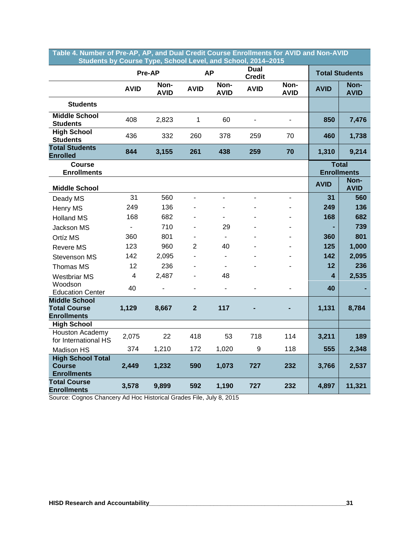| Students by Course Type, School Level, and School, 2014–2015      |             |                     |                |                          |                       |                     |             |                                    |
|-------------------------------------------------------------------|-------------|---------------------|----------------|--------------------------|-----------------------|---------------------|-------------|------------------------------------|
|                                                                   |             | Pre-AP              |                | <b>AP</b>                | Dual<br><b>Credit</b> |                     |             | <b>Total Students</b>              |
|                                                                   | <b>AVID</b> | Non-<br><b>AVID</b> | <b>AVID</b>    | Non-<br><b>AVID</b>      | <b>AVID</b>           | Non-<br><b>AVID</b> | <b>AVID</b> | Non-<br><b>AVID</b>                |
| <b>Students</b>                                                   |             |                     |                |                          |                       |                     |             |                                    |
| <b>Middle School</b><br><b>Students</b>                           | 408         | 2,823               | 1              | 60                       |                       |                     | 850         | 7,476                              |
| <b>High School</b><br><b>Students</b>                             | 436         | 332                 | 260            | 378                      | 259                   | 70                  | 460         | 1,738                              |
| <b>Total Students</b><br><b>Enrolled</b>                          | 844         | 3,155               | 261            | 438                      | 259                   | 70                  | 1,310       | 9,214                              |
| <b>Course</b><br><b>Enrollments</b>                               |             |                     |                |                          |                       |                     |             | <b>Total</b><br><b>Enrollments</b> |
| <b>Middle School</b>                                              |             |                     |                |                          |                       |                     | <b>AVID</b> | Non-<br><b>AVID</b>                |
| Deady MS                                                          | 31          | 560                 | $\overline{a}$ |                          |                       |                     | 31          | 560                                |
| Henry MS                                                          | 249         | 136                 |                |                          |                       |                     | 249         | 136                                |
| <b>Holland MS</b>                                                 | 168         | 682                 |                |                          |                       |                     | 168         | 682                                |
| Jackson MS                                                        |             | 710                 |                | 29                       |                       |                     |             | 739                                |
| Ortíz MS                                                          | 360         | 801                 | ۰              | $\blacksquare$           |                       |                     | 360         | 801                                |
| Revere MS                                                         | 123         | 960                 | $\overline{2}$ | 40                       |                       |                     | 125         | 1,000                              |
| Stevenson MS                                                      | 142         | 2,095               |                | $\blacksquare$           |                       |                     | 142         | 2,095                              |
| Thomas MS                                                         | 12          | 236                 |                | $\overline{\phantom{a}}$ |                       |                     | 12          | 236                                |
| <b>Westbriar MS</b>                                               | 4           | 2,487               |                | 48                       |                       |                     | 4           | 2,535                              |
| Woodson<br><b>Education Center</b>                                | 40          |                     |                | $\overline{a}$           |                       |                     | 40          |                                    |
| <b>Middle School</b><br><b>Total Course</b><br><b>Enrollments</b> | 1,129       | 8,667               | $\overline{2}$ | 117                      |                       |                     | 1,131       | 8,784                              |
| <b>High School</b>                                                |             |                     |                |                          |                       |                     |             |                                    |
| Houston Academy<br>for International HS                           | 2,075       | 22                  | 418            | 53                       | 718                   | 114                 | 3,211       | 189                                |
| Madison HS                                                        | 374         | 1,210               | 172            | 1,020                    | 9                     | 118                 | 555         | 2,348                              |
| <b>High School Total</b><br><b>Course</b><br><b>Enrollments</b>   | 2,449       | 1,232               | 590            | 1,073                    | 727                   | 232                 | 3,766       | 2,537                              |
| <b>Total Course</b><br><b>Enrollments</b>                         | 3,578       | 9,899               | 592            | 1,190                    | 727                   | 232                 | 4,897       | 11,321                             |

**Table 4. Number of Pre-AP, AP, and Dual Credit Course Enrollments for AVID and Non-AVID ….…..…Students by Course Type, School Level, and School, 2014–2015**

Source: Cognos Chancery Ad Hoc Historical Grades File, July 8, 2015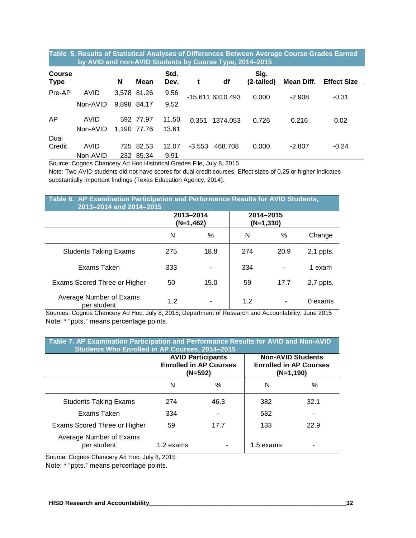#### **Table 5. Results of Statistical Analyses of Differences Between Average Course Grades Earned ………….by AVID and non-AVID Students by Course Type, 2014–2015**

| <b>Course</b><br><b>Type</b> |          | N    | Mean        | Std.<br>Dev. |          | df               | Sig.<br>(2-tailed) | Mean Diff. | <b>Effect Size</b> |
|------------------------------|----------|------|-------------|--------------|----------|------------------|--------------------|------------|--------------------|
| Pre-AP                       | AVID     |      | 3,578 81.26 | 9.56         |          | -15.611 6310.493 | 0.000              | $-2.908$   | $-0.31$            |
|                              | Non-AVID |      | 9.898 84.17 | 9.52         |          |                  |                    |            |                    |
| AP                           | AVID     |      | 592 77.97   | 11.50        | 0.351    | 1374.053         | 0.726              | 0.216      | 0.02               |
|                              | Non-AVID |      | 1.190 77.76 | 13.61        |          |                  |                    |            |                    |
| Dual                         |          |      |             |              |          |                  |                    |            |                    |
| Credit                       | AVID     | 725. | 82.53       | 12.07        | $-3.553$ | 468.708          | 0.000              | $-2.807$   | $-0.24$            |
|                              | Non-AVID |      | 232 85.34   | 9.91         |          |                  |                    |            |                    |

Source: Cognos Chancery Ad Hoc Historical Grades File, July 8, 2015

Note: Two AVID students did not have scores for dual credit courses. Effect sizes of 0.25 or higher indicates substantially important findings (Texas Education Agency, 2014).

| Table 6. AP Examination Participation and Performance Results for AVID Students,<br>2013-2014 and 2014-2015 |     |                        |     |                          |             |  |  |  |  |  |
|-------------------------------------------------------------------------------------------------------------|-----|------------------------|-----|--------------------------|-------------|--|--|--|--|--|
|                                                                                                             |     | 2013-2014<br>(N=1,462) |     | 2014-2015<br>$(N=1,310)$ |             |  |  |  |  |  |
|                                                                                                             | N   | $\%$                   | N   | %                        | Change      |  |  |  |  |  |
| <b>Students Taking Exams</b>                                                                                | 275 | 18.8                   | 274 | 20.9                     | $2.1$ ppts. |  |  |  |  |  |
| Exams Taken                                                                                                 | 333 |                        | 334 |                          | 1 exam      |  |  |  |  |  |
| Exams Scored Three or Higher                                                                                | 50  | 15.0                   | 59  | 17.7                     | 2.7 ppts.   |  |  |  |  |  |
| Average Number of Exams<br>per student                                                                      | 1.2 |                        | 1.2 |                          | 0 exams     |  |  |  |  |  |

Sources: Cognos Chancery Ad Hoc, July 8, 2015; Department of Research and Accountability, June 2015 Note: \* "ppts." means percentage points.

| Table 7. AP Examination Participation and Performance Results for AVID and Non-AVID<br>Students Who Enrolled in AP Courses, 2014-2015 |           |                                                                        |                                                                          |      |  |  |  |  |  |
|---------------------------------------------------------------------------------------------------------------------------------------|-----------|------------------------------------------------------------------------|--------------------------------------------------------------------------|------|--|--|--|--|--|
|                                                                                                                                       |           | <b>AVID Participants</b><br><b>Enrolled in AP Courses</b><br>$(N=592)$ | <b>Non-AVID Students</b><br><b>Enrolled in AP Courses</b><br>$(N=1,190)$ |      |  |  |  |  |  |
|                                                                                                                                       | N         | ℅                                                                      | N                                                                        | $\%$ |  |  |  |  |  |
| <b>Students Taking Exams</b>                                                                                                          | 274       | 46.3                                                                   | 382                                                                      | 32.1 |  |  |  |  |  |
| Exams Taken                                                                                                                           | 334       |                                                                        | 582                                                                      |      |  |  |  |  |  |
| Exams Scored Three or Higher                                                                                                          | 59        | 17.7                                                                   | 133                                                                      | 22.9 |  |  |  |  |  |
| Average Number of Exams<br>per student                                                                                                | 1.2 exams |                                                                        | 1.5 exams                                                                |      |  |  |  |  |  |

Source: Cognos Chancery Ad Hoc, July 8, 2015

Note: \* "ppts." means percentage points.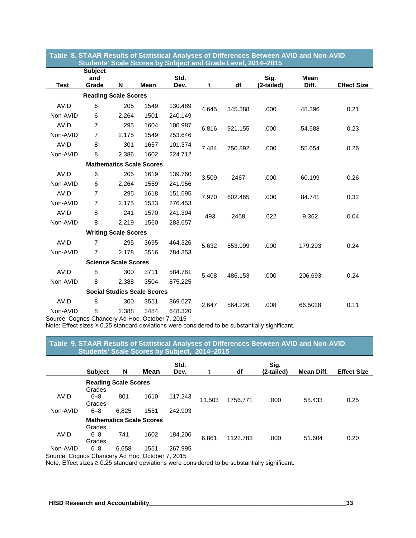|                    | Table  8. STAAR Results of Statistical Analyses of Differences Between AVID and Non-AVID<br>Students' Scale Scores by Subject and Grade Level, 2014-2015 |                      |                                    |                   |       |         |            |             |                    |  |  |
|--------------------|----------------------------------------------------------------------------------------------------------------------------------------------------------|----------------------|------------------------------------|-------------------|-------|---------|------------|-------------|--------------------|--|--|
|                    | <b>Subject</b>                                                                                                                                           |                      |                                    |                   |       |         |            |             |                    |  |  |
|                    | and                                                                                                                                                      |                      |                                    | Std.              |       |         | Sig.       | <b>Mean</b> |                    |  |  |
| <b>Test</b>        | Grade                                                                                                                                                    | N                    | Mean                               | Dev.              | t     | df      | (2-tailed) | Diff.       | <b>Effect Size</b> |  |  |
|                    | <b>Reading Scale Scores</b>                                                                                                                              |                      |                                    |                   |       |         |            |             |                    |  |  |
| <b>AVID</b>        | 6                                                                                                                                                        | 205                  | 1549                               | 130.489           | 4.645 | 345.388 | .000       | 48.396      | 0.21               |  |  |
| Non-AVID           | 6                                                                                                                                                        | 2,264                | 1501                               | 240.149           |       |         |            |             |                    |  |  |
| <b>AVID</b>        | $\overline{7}$                                                                                                                                           | 295                  | 1604                               | 100.987           | 6.816 | 921.155 | .000       | 54.588      | 0.23               |  |  |
| Non-AVID           | $\overline{7}$                                                                                                                                           | 2,175                | 1549                               | 253.646           |       |         |            |             |                    |  |  |
| <b>AVID</b>        | 8                                                                                                                                                        | 301                  | 1657                               | 101.374           | 7.484 | 750.892 | .000       | 55.654      | 0.26               |  |  |
| Non-AVID           | 8                                                                                                                                                        | 2,386                | 1602                               | 224.712           |       |         |            |             |                    |  |  |
|                    |                                                                                                                                                          |                      | <b>Mathematics Scale Scores</b>    |                   |       |         |            |             |                    |  |  |
| <b>AVID</b>        | 6                                                                                                                                                        | 205                  | 1619                               | 139.760           | 3.509 | 2467    | .000       | 60.199      | 0.26               |  |  |
| Non-AVID           | 6                                                                                                                                                        | 2,264                | 1559                               | 241.956           |       |         |            |             |                    |  |  |
| <b>AVID</b>        | $\overline{7}$                                                                                                                                           | 295                  | 1618                               | 151.595           | 7.970 | 602.465 | .000       | 84.741      | 0.32               |  |  |
| Non-AVID           | $\overline{7}$                                                                                                                                           | 2,175                | 1533                               | 276.453           |       |         |            |             |                    |  |  |
| <b>AVID</b>        | 8                                                                                                                                                        | 241                  | 1570                               | 241.394           | .493  | 2458    | .622       | 9.362       | 0.04               |  |  |
| Non-AVID           | 8                                                                                                                                                        | 2,219                | 1560                               | 283.657           |       |         |            |             |                    |  |  |
|                    | <b>Writing Scale Scores</b>                                                                                                                              |                      |                                    |                   |       |         |            |             |                    |  |  |
| <b>AVID</b>        | 7                                                                                                                                                        | 295                  | 3695                               | 464.326           | 5.632 | 553.999 | .000       | 179.293     | 0.24               |  |  |
| Non-AVID           | $\overline{7}$                                                                                                                                           | 2,178                | 3516                               | 784.353           |       |         |            |             |                    |  |  |
|                    | <b>Science Scale Scores</b>                                                                                                                              |                      |                                    |                   |       |         |            |             |                    |  |  |
| <b>AVID</b>        | 8                                                                                                                                                        | 300                  | 3711                               | 584.761           | 5.408 | 486.153 | .000       | 206.693     | 0.24               |  |  |
| Non-AVID           | 8                                                                                                                                                        | 2,388                | 3504                               | 875.225           |       |         |            |             |                    |  |  |
|                    |                                                                                                                                                          |                      | <b>Social Studies Scale Scores</b> |                   |       |         |            |             |                    |  |  |
| <b>AVID</b>        | 8                                                                                                                                                        | 300                  | 3551                               | 369.627           | 2.647 | 564.226 | .008       | 66.5028     | 0.11               |  |  |
| Non-AVID<br>ົ<br>⌒ | 8<br>$\sim$                                                                                                                                              | 2,388<br>$A - I - I$ | 3484<br>$\sim$                     | 648.320<br>7.0015 |       |         |            |             |                    |  |  |

**Table 8. STAAR Results of Statistical Analyses of Differences Between AVID and Non-AVID**

Source: Cognos Chancery Ad Hoc, October 7, 2015

Note: Effect sizes ≥ 0.25 standard deviations were considered to be substantially significant.

**Table 9. STAAR Results of Statistical Analyses of Differences Between AVID and Non-AVID …….……Students' Scale Scores by Subject, 2014–2015**

|          | <b>Subject</b>                        | N     | <b>Mean</b> | Std.<br>Dev. | t      | df       | Sig.<br>(2-tailed) | <b>Mean Diff.</b> | <b>Effect Size</b> |
|----------|---------------------------------------|-------|-------------|--------------|--------|----------|--------------------|-------------------|--------------------|
|          | <b>Reading Scale Scores</b><br>Grades |       |             |              |        |          |                    |                   |                    |
| AVID     | $6 - 8$<br>Grades                     | 801   | 1610        | 117.243      | 11.503 | 1756.771 | .000               | 58.433            | 0.25               |
| Non-AVID | $6 - 8$                               | 6,825 | 1551        | 242.903      |        |          |                    |                   |                    |
|          | <b>Mathematics Scale Scores</b>       |       |             |              |        |          |                    |                   |                    |
| AVID     | Grades<br>$6 - 8$<br>Grades           | 741   | 1602        | 184.206      | 6.861  | 1122.783 | .000               | 51.604            | 0.20               |
| Non-AVID | $6 - 8$                               | 6,658 | 1551        | 267.995      |        |          |                    |                   |                    |

Source: Cognos Chancery Ad Hoc, October 7, 2015

Note: Effect sizes ≥ 0.25 standard deviations were considered to be substantially significant.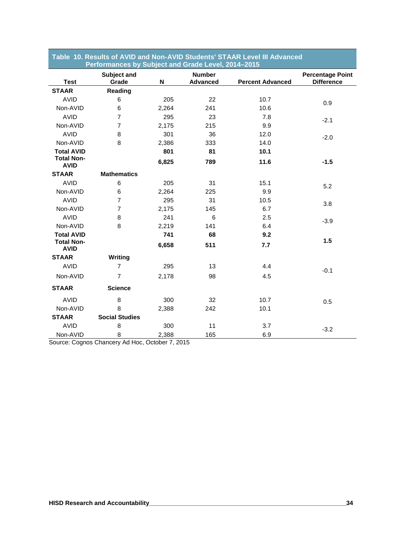|                                  | Performances by Subject and Grade Level, 2014–2015 |       |                                  |                         |                                              |
|----------------------------------|----------------------------------------------------|-------|----------------------------------|-------------------------|----------------------------------------------|
| <b>Test</b>                      | Subject and<br>Grade                               | N     | <b>Number</b><br><b>Advanced</b> | <b>Percent Advanced</b> | <b>Percentage Point</b><br><b>Difference</b> |
| <b>STAAR</b>                     | Reading                                            |       |                                  |                         |                                              |
| <b>AVID</b>                      | 6                                                  | 205   | 22                               | 10.7                    | 0.9                                          |
| Non-AVID                         | 6                                                  | 2,264 | 241                              | 10.6                    |                                              |
| <b>AVID</b>                      | 7                                                  | 295   | 23                               | 7.8                     | $-2.1$                                       |
| Non-AVID                         | 7                                                  | 2,175 | 215                              | 9.9                     |                                              |
| <b>AVID</b>                      | 8                                                  | 301   | 36                               | 12.0                    | $-2.0$                                       |
| Non-AVID                         | 8                                                  | 2,386 | 333                              | 14.0                    |                                              |
| <b>Total AVID</b>                |                                                    | 801   | 81                               | 10.1                    |                                              |
| <b>Total Non-</b><br><b>AVID</b> |                                                    | 6,825 | 789                              | 11.6                    | $-1.5$                                       |
| <b>STAAR</b>                     | <b>Mathematics</b>                                 |       |                                  |                         |                                              |
| <b>AVID</b>                      | 6                                                  | 205   | 31                               | 15.1                    | 5.2                                          |
| Non-AVID                         | 6                                                  | 2,264 | 225                              | 9.9                     |                                              |
| <b>AVID</b>                      | $\overline{7}$                                     | 295   | 31                               | 10.5                    | 3.8                                          |
| Non-AVID                         | 7                                                  | 2,175 | 145                              | 6.7                     |                                              |
| <b>AVID</b>                      | 8                                                  | 241   | 6                                | 2.5                     | $-3.9$                                       |
| Non-AVID                         | 8                                                  | 2,219 | 141                              | 6.4                     |                                              |
| <b>Total AVID</b>                |                                                    | 741   | 68                               | 9.2                     |                                              |
| <b>Total Non-</b><br><b>AVID</b> |                                                    | 6,658 | 511                              | 7.7                     | 1.5                                          |
| <b>STAAR</b>                     | Writing                                            |       |                                  |                         |                                              |
| <b>AVID</b>                      | $\overline{7}$                                     | 295   | 13                               | 4.4                     | $-0.1$                                       |
| Non-AVID                         | $\overline{7}$                                     | 2,178 | 98                               | 4.5                     |                                              |
| <b>STAAR</b>                     | <b>Science</b>                                     |       |                                  |                         |                                              |
| <b>AVID</b>                      | 8                                                  | 300   | 32                               | 10.7                    | 0.5                                          |
| Non-AVID                         | 8                                                  | 2,388 | 242                              | 10.1                    |                                              |
| <b>STAAR</b>                     | <b>Social Studies</b>                              |       |                                  |                         |                                              |
| <b>AVID</b>                      | 8                                                  | 300   | 11                               | 3.7                     | $-3.2$                                       |
| Non-AVID                         | 8                                                  | 2,388 | 165                              | 6.9                     |                                              |

## **Table 10. Results of AVID and Non-AVID Students' STAAR Level III Advanced**

Source: Cognos Chancery Ad Hoc, October 7, 2015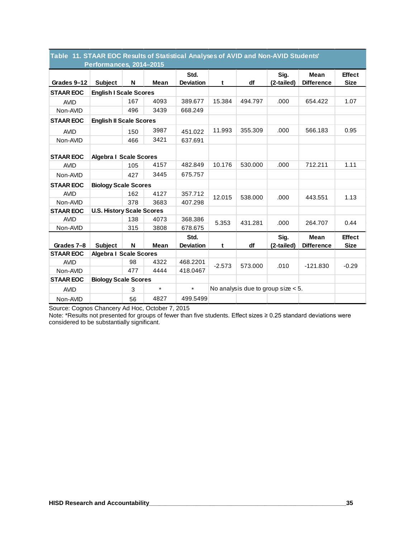|                  | Performances, 2014-2015          |     |             |                          |          |         |                                       |                                  |                              |
|------------------|----------------------------------|-----|-------------|--------------------------|----------|---------|---------------------------------------|----------------------------------|------------------------------|
| Grades 9-12      | <b>Subject</b>                   | N   | <b>Mean</b> | Std.<br><b>Deviation</b> | t        | df      | Sig.<br>(2-tailed)                    | <b>Mean</b><br><b>Difference</b> | <b>Effect</b><br><b>Size</b> |
| <b>STAAR EOC</b> | <b>English I Scale Scores</b>    |     |             |                          |          |         |                                       |                                  |                              |
| <b>AVID</b>      |                                  | 167 | 4093        | 389.677                  | 15.384   | 494.797 | .000                                  | 654.422                          | 1.07                         |
| Non-AVID         |                                  | 496 | 3439        | 668.249                  |          |         |                                       |                                  |                              |
| <b>STAAR EOC</b> | <b>English II Scale Scores</b>   |     |             |                          |          |         |                                       |                                  |                              |
| <b>AVID</b>      |                                  | 150 | 3987        | 451.022                  | 11.993   | 355.309 | .000                                  | 566.183                          | 0.95                         |
| Non-AVID         |                                  | 466 | 3421        | 637.691                  |          |         |                                       |                                  |                              |
| <b>STAAR EOC</b> | <b>Algebra I Scale Scores</b>    |     |             |                          |          |         |                                       |                                  |                              |
| <b>AVID</b>      |                                  | 105 | 4157        | 482.849                  | 10.176   | 530.000 | .000                                  | 712.211                          | 1.11                         |
| Non-AVID         |                                  | 427 | 3445        | 675.757                  |          |         |                                       |                                  |                              |
| <b>STAAR EOC</b> | <b>Biology Scale Scores</b>      |     |             |                          |          |         |                                       |                                  |                              |
| <b>AVID</b>      |                                  | 162 | 4127        | 357.712                  | 12.015   | 538.000 | .000                                  | 443.551                          | 1.13                         |
| Non-AVID         |                                  | 378 | 3683        | 407.298                  |          |         |                                       |                                  |                              |
| <b>STAAR EOC</b> | <b>U.S. History Scale Scores</b> |     |             |                          |          |         |                                       |                                  |                              |
| <b>AVID</b>      |                                  | 138 | 4073        | 368.386                  | 5.353    | 431.281 | .000                                  | 264.707                          | 0.44                         |
| Non-AVID         |                                  | 315 | 3808        | 678.675                  |          |         |                                       |                                  |                              |
|                  |                                  |     |             | Std.                     |          |         | Sig.                                  | <b>Mean</b>                      | <b>Effect</b>                |
| Grades 7-8       | <b>Subject</b>                   | N   | <b>Mean</b> | <b>Deviation</b>         | t        | df      | (2-tailed)                            | <b>Difference</b>                | <b>Size</b>                  |
| <b>STAAR EOC</b> | <b>Algebra I Scale Scores</b>    |     |             |                          |          |         |                                       |                                  |                              |
| <b>AVID</b>      |                                  | 98  | 4322        | 468.2201                 | $-2.573$ | 573.000 | .010                                  | $-121.830$                       | $-0.29$                      |
| Non-AVID         |                                  | 477 | 4444        | 418.0467                 |          |         |                                       |                                  |                              |
| <b>STAAR EOC</b> | <b>Biology Scale Scores</b>      |     |             |                          |          |         |                                       |                                  |                              |
| <b>AVID</b>      |                                  | 3   | $\star$     | $\star$                  |          |         | No analysis due to group size $< 5$ . |                                  |                              |
| Non-AVID         |                                  | 56  | 4827        | 499.5499                 |          |         |                                       |                                  |                              |

## **Table 11. STAAR EOC Results of Statistical Analyses of AVID and Non-AVID Students'**

Source: Cognos Chancery Ad Hoc, October 7, 2015

Note: \*Results not presented for groups of fewer than five students. Effect sizes ≥ 0.25 standard deviations were considered to be substantially significant.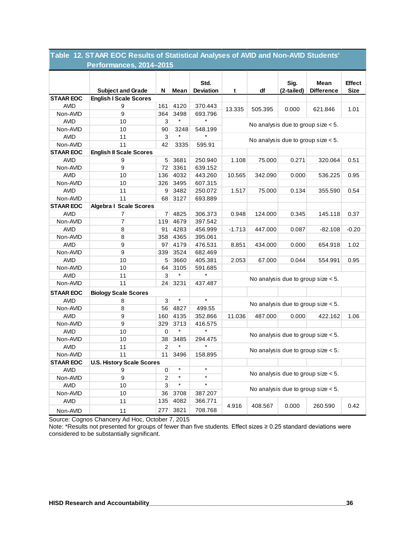|                  | Performances, 2014-2015          |                |         |                          |                                       |         |                    |                                       |                              |
|------------------|----------------------------------|----------------|---------|--------------------------|---------------------------------------|---------|--------------------|---------------------------------------|------------------------------|
|                  | <b>Subject and Grade</b>         | N              | Mean    | Std.<br><b>Deviation</b> | t                                     | df      | Sig.<br>(2-tailed) | Mean<br><b>Difference</b>             | <b>Effect</b><br><b>Size</b> |
| <b>STAAR EOC</b> | <b>English I Scale Scores</b>    |                |         |                          |                                       |         |                    |                                       |                              |
| <b>AVID</b>      | 9                                | 161            | 4120    | 370.443                  | 13.335                                | 505.395 | 0.000              | 621.846                               | 1.01                         |
| Non-AVID         | 9                                | 364            | 3498    | 693.796                  |                                       |         |                    |                                       |                              |
| <b>AVID</b>      | 10                               | 3              | $\star$ | $\star$                  |                                       |         |                    | No analysis due to group size $< 5$ . |                              |
| Non-AVID         | 10                               | 90             | 3248    | 548.199                  |                                       |         |                    |                                       |                              |
| <b>AVID</b>      | 11                               | 3              | $\star$ |                          | No analysis due to group size $< 5$ . |         |                    |                                       |                              |
| Non-AVID         | 11                               | 42             | 3335    | 595.91                   |                                       |         |                    |                                       |                              |
| <b>STAAR EOC</b> | <b>English II Scale Scores</b>   |                |         |                          |                                       |         |                    |                                       |                              |
| <b>AVID</b>      | 9                                | 5              | 3681    | 250.940                  | 1.108                                 | 75.000  | 0.271              | 320.064                               | 0.51                         |
| Non-AVID         | 9                                | 72             | 3361    | 639.152                  |                                       |         |                    |                                       |                              |
| <b>AVID</b>      | 10                               | 136            | 4032    | 443.260                  | 10.565                                | 342.090 | 0.000              | 536.225                               | 0.95                         |
| Non-AVID         | 10                               | 326            | 3495    | 607.315                  |                                       |         |                    |                                       |                              |
| <b>AVID</b>      | 11                               | 9              | 3482    | 250.072                  | 1.517                                 | 75.000  | 0.134              | 355.590                               | 0.54                         |
| Non-AVID         | 11                               | 68             | 3127    | 693.889                  |                                       |         |                    |                                       |                              |
| <b>STAAR EOC</b> | <b>Algebra I Scale Scores</b>    |                |         |                          |                                       |         |                    |                                       |                              |
| <b>AVID</b>      | 7                                | $\overline{7}$ | 4825    | 306.373                  | 0.948                                 | 124.000 | 0.345              | 145.118                               | 0.37                         |
| Non-AVID         | 7                                | 119            | 4679    | 397.542                  |                                       |         |                    |                                       |                              |
| <b>AVID</b>      | 8                                | 91             | 4283    | 456.999                  | $-1.713$                              | 447.000 | 0.087              | $-82.108$                             | $-0.20$                      |
| Non-AVID         | 8                                | 358            | 4365    | 395.061                  |                                       |         |                    |                                       |                              |
| <b>AVID</b>      | 9                                | 97             | 4179    | 476.531                  | 8.851                                 | 434.000 | 0.000              | 654.918                               | 1.02                         |
| Non-AVID         | 9                                | 339            | 3524    | 682.469                  |                                       |         |                    |                                       |                              |
| <b>AVID</b>      | 10                               | 5              | 3660    | 405.381                  | 2.053                                 | 67.000  | 0.044              | 554.991                               | 0.95                         |
| Non-AVID         | 10                               | 64             | 3105    | 591.685                  |                                       |         |                    |                                       |                              |
| <b>AVID</b>      | 11                               | 3              | $\star$ |                          |                                       |         |                    |                                       |                              |
| Non-AVID         | 11                               | 24             | 3231    | 437.487                  |                                       |         |                    | No analysis due to group size $< 5$ . |                              |
| <b>STAAR EOC</b> | <b>Biology Scale Scores</b>      |                |         |                          |                                       |         |                    |                                       |                              |
| <b>AVID</b>      | 8                                | 3              | $\star$ | $\star$                  |                                       |         |                    |                                       |                              |
| Non-AVID         | 8                                | 56             | 4827    | 499.55                   |                                       |         |                    | No analysis due to group size $< 5$ . |                              |
| <b>AVID</b>      | 9                                | 160            | 4135    | 352.866                  | 11.036                                | 487.000 | 0.000              | 422.162                               | 1.06                         |
| Non-AVID         | 9                                | 329            | 3713    | 416.575                  |                                       |         |                    |                                       |                              |
| <b>AVID</b>      | 10                               | 0              | $\star$ | $\star$                  |                                       |         |                    |                                       |                              |
| Non-AVID         | 10                               | 38             | 3485    | 294.475                  |                                       |         |                    | No analysis due to group size $< 5$ . |                              |
| <b>AVID</b>      | 11                               | $\overline{2}$ | $\star$ | $\star$                  |                                       |         |                    |                                       |                              |
| Non-AVID         | 11                               | 11             | 3496    | 158.895                  |                                       |         |                    | No analysis due to group size $< 5$ . |                              |
| <b>STAAR EOC</b> | <b>U.S. History Scale Scores</b> |                |         |                          |                                       |         |                    |                                       |                              |
| <b>AVID</b>      | 9                                | 0              | $\star$ | $\star$                  |                                       |         |                    |                                       |                              |
| Non-AVID         | 9                                | $\overline{c}$ | $\star$ | $\star$                  |                                       |         |                    | No analysis due to group size $< 5$ . |                              |
| <b>AVID</b>      | 10                               | 3              | $\star$ | $\star$                  |                                       |         |                    |                                       |                              |
| Non-AVID         | 10                               | 36             | 3708    | 387.207                  | No analysis due to group size $< 5$ . |         |                    |                                       |                              |
| <b>AVID</b>      | 11                               | 135            | 4082    | 366.771                  |                                       |         |                    |                                       |                              |
| Non-AVID         | 11                               | 277            | 3821    | 708.768                  | 4.916                                 | 408.567 | 0.000              | 260.590                               | 0.42                         |

**Table 12. STAAR EOC Results of Statistical Analyses of AVID and Non-AVID Students'** 

Source: Cognos Chancery Ad Hoc, October 7, 2015

Note: \*Results not presented for groups of fewer than five students. Effect sizes ≥ 0.25 standard deviations were considered to be substantially significant.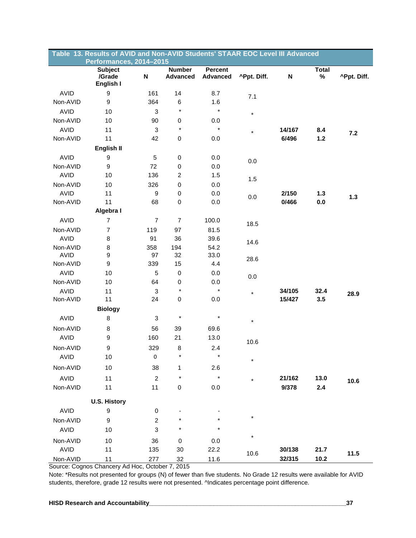|                         | Table 13. Results of AVID and Non-AVID Students' STAAR EOC Level III Advanced |                           |                                  |                                   |             |                           |                   |             |
|-------------------------|-------------------------------------------------------------------------------|---------------------------|----------------------------------|-----------------------------------|-------------|---------------------------|-------------------|-------------|
|                         | Performances, 2014-2015                                                       |                           |                                  |                                   |             |                           |                   |             |
|                         | <b>Subject</b><br>/Grade<br>English I                                         | $\boldsymbol{\mathsf{N}}$ | <b>Number</b><br><b>Advanced</b> | <b>Percent</b><br><b>Advanced</b> | ^Ppt. Diff. | $\boldsymbol{\mathsf{N}}$ | <b>Total</b><br>% | ^Ppt. Diff. |
| <b>AVID</b>             | $\boldsymbol{9}$                                                              | 161                       | 14                               | 8.7                               | 7.1         |                           |                   |             |
| Non-AVID                | 9                                                                             | 364                       | 6                                | 1.6                               |             |                           |                   |             |
| <b>AVID</b>             | 10                                                                            | 3                         | $\star$                          | $\star$                           | $\star$     |                           |                   |             |
| Non-AVID                | 10                                                                            | 90                        | 0                                | 0.0                               |             |                           |                   |             |
| <b>AVID</b>             | 11                                                                            | 3                         | $\star$                          | $\star$                           | $\star$     | 14/167                    | 8.4               | 7.2         |
| Non-AVID                | 11                                                                            | 42                        | 0                                | 0.0                               |             | 6/496                     | 1.2               |             |
|                         | English II                                                                    |                           |                                  |                                   |             |                           |                   |             |
| <b>AVID</b>             | 9                                                                             | $\,$ 5 $\,$               | 0                                | 0.0                               | 0.0         |                           |                   |             |
| Non-AVID                | $\boldsymbol{9}$                                                              | 72                        | 0                                | 0.0                               |             |                           |                   |             |
| <b>AVID</b>             | 10                                                                            | 136                       | $\overline{\mathbf{c}}$          | 1.5                               | 1.5         |                           |                   |             |
| Non-AVID                | 10                                                                            | 326                       | 0                                | 0.0                               |             |                           |                   |             |
| <b>AVID</b>             | 11                                                                            | 9                         | 0                                | 0.0                               | 0.0         | 2/150                     | $1.3$             | 1.3         |
| Non-AVID                | 11                                                                            | 68                        | 0                                | 0.0                               |             | 0/466                     | 0.0               |             |
|                         | Algebra I                                                                     |                           |                                  |                                   |             |                           |                   |             |
| <b>AVID</b>             | $\overline{7}$                                                                | $\overline{7}$            | $\overline{7}$                   | 100.0                             | 18.5        |                           |                   |             |
| Non-AVID                | $\overline{7}$                                                                | 119                       | 97                               | 81.5                              |             |                           |                   |             |
| <b>AVID</b>             | 8                                                                             | 91                        | 36                               | 39.6                              | 14.6        |                           |                   |             |
| Non-AVID                | 8                                                                             | 358                       | 194                              | 54.2                              |             |                           |                   |             |
| <b>AVID</b>             | $\boldsymbol{9}$                                                              | 97                        | 32                               | 33.0                              | 28.6        |                           |                   |             |
| Non-AVID                | $\boldsymbol{9}$                                                              | 339                       | 15                               | 4.4                               |             |                           |                   |             |
| <b>AVID</b>             | 10                                                                            | 5                         | 0                                | 0.0                               | 0.0         |                           |                   |             |
| Non-AVID                | 10                                                                            | 64                        | 0<br>$\star$                     | 0.0<br>$\star$                    |             |                           |                   |             |
| <b>AVID</b><br>Non-AVID | 11<br>11                                                                      | 3<br>24                   | 0                                | 0.0                               | $\star$     | 34/105<br>15/427          | 32.4<br>3.5       | 28.9        |
|                         | <b>Biology</b>                                                                |                           |                                  |                                   |             |                           |                   |             |
| <b>AVID</b>             | 8                                                                             | 3                         | $\star$                          | $\star$                           |             |                           |                   |             |
|                         |                                                                               |                           |                                  |                                   | $\star$     |                           |                   |             |
| Non-AVID<br><b>AVID</b> | 8<br>$\boldsymbol{9}$                                                         | 56<br>160                 | 39                               | 69.6                              |             |                           |                   |             |
|                         |                                                                               |                           | 21                               | 13.0                              | 10.6        |                           |                   |             |
| Non-AVID                | 9                                                                             | 329                       | 8<br>$\star$                     | 2.4<br>$^\star$                   |             |                           |                   |             |
| <b>AVID</b>             | 10                                                                            | $\pmb{0}$                 |                                  |                                   | $\star$     |                           |                   |             |
| Non-AVID                | 10                                                                            | 38                        | 1                                | 2.6                               |             |                           |                   |             |
| <b>AVID</b>             | 11                                                                            | $\boldsymbol{2}$          | $^{\displaystyle\star}$          | $\star$                           | $\star$     | 21/162                    | 13.0              | 10.6        |
| Non-AVID                | 11                                                                            | 11                        | 0                                | 0.0                               |             | 9/378                     | 2.4               |             |
|                         | <b>U.S. History</b>                                                           |                           |                                  |                                   |             |                           |                   |             |
| <b>AVID</b>             | $\boldsymbol{9}$                                                              | 0                         |                                  |                                   |             |                           |                   |             |
| Non-AVID                | 9                                                                             | $\overline{c}$            |                                  |                                   | $\star$     |                           |                   |             |
| <b>AVID</b>             | 10                                                                            | 3                         | *                                | $\star$                           |             |                           |                   |             |
| Non-AVID                | 10                                                                            | 36                        | 0                                | 0.0                               | $\star$     |                           |                   |             |
| <b>AVID</b>             | 11                                                                            | 135                       | 30                               | 22.2                              |             | 30/138                    | 21.7              |             |
| Non-AVID                | 11                                                                            | 277                       | 32                               | 11.6                              | 10.6        | 32/315                    | 10.2              | 11.5        |

Source: Cognos Chancery Ad Hoc, October 7, 2015

Note: \*Results not presented for groups (N) of fewer than five students. No Grade 12 results were available for AVID students, therefore, grade 12 results were not presented. ^Indicates percentage point difference.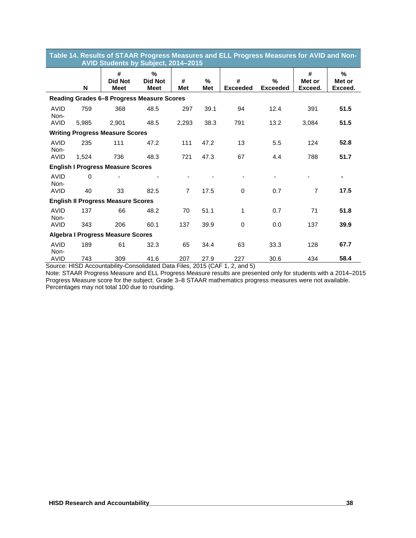| Table 14. Results of STAAR Progress Measures and ELL Progress Measures for AVID and Non-<br>AVID Students by Subject, 2014-2015 |       |                                                                                    |                                       |                 |                 |                      |                      |                        |                        |  |
|---------------------------------------------------------------------------------------------------------------------------------|-------|------------------------------------------------------------------------------------|---------------------------------------|-----------------|-----------------|----------------------|----------------------|------------------------|------------------------|--|
|                                                                                                                                 | N     | #<br><b>Did Not</b><br><b>Meet</b>                                                 | $\%$<br><b>Did Not</b><br><b>Meet</b> | #<br><b>Met</b> | %<br><b>Met</b> | #<br><b>Exceeded</b> | %<br><b>Exceeded</b> | #<br>Met or<br>Exceed. | %<br>Met or<br>Exceed. |  |
|                                                                                                                                 |       | Reading Grades 6-8 Progress Measure Scores                                         |                                       |                 |                 |                      |                      |                        |                        |  |
| AVID<br>Non-                                                                                                                    | 759   | 368                                                                                | 48.5                                  | 297             | 39.1            | 94                   | 12.4                 | 391                    | 51.5                   |  |
| <b>AVID</b>                                                                                                                     | 5,985 | 2,901                                                                              | 48.5                                  | 2,293           | 38.3            | 791                  | 13.2                 | 3,084                  | 51.5                   |  |
|                                                                                                                                 |       | <b>Writing Progress Measure Scores</b>                                             |                                       |                 |                 |                      |                      |                        |                        |  |
| <b>AVID</b><br>Non-                                                                                                             | 235   | 111                                                                                | 47.2                                  | 111             | 47.2            | 13                   | 5.5                  | 124                    | 52.8                   |  |
| <b>AVID</b>                                                                                                                     | 1,524 | 736                                                                                | 48.3                                  | 721             | 47.3            | 67                   | 4.4                  | 788                    | 51.7                   |  |
|                                                                                                                                 |       | <b>English I Progress Measure Scores</b>                                           |                                       |                 |                 |                      |                      |                        |                        |  |
| <b>AVID</b><br>Non-                                                                                                             | 0     |                                                                                    |                                       |                 |                 |                      |                      |                        | ٠                      |  |
| <b>AVID</b>                                                                                                                     | 40    | 33                                                                                 | 82.5                                  | $\overline{7}$  | 17.5            | $\Omega$             | 0.7                  | $\overline{7}$         | 17.5                   |  |
|                                                                                                                                 |       | <b>English II Progress Measure Scores</b>                                          |                                       |                 |                 |                      |                      |                        |                        |  |
| <b>AVID</b><br>Non-                                                                                                             | 137   | 66                                                                                 | 48.2                                  | 70              | 51.1            | 1                    | 0.7                  | 71                     | 51.8                   |  |
| AVID                                                                                                                            | 343   | 206                                                                                | 60.1                                  | 137             | 39.9            | $\mathbf 0$          | 0.0                  | 137                    | 39.9                   |  |
|                                                                                                                                 |       | <b>Algebra I Progress Measure Scores</b>                                           |                                       |                 |                 |                      |                      |                        |                        |  |
| <b>AVID</b><br>Non-                                                                                                             | 189   | 61                                                                                 | 32.3                                  | 65              | 34.4            | 63                   | 33.3                 | 128                    | 67.7                   |  |
| <b>AVID</b>                                                                                                                     | 743   | 309<br>Source: HISD Accountability-Consolidated Data Files, 2015 (CAE 1, 2, and 5) | 41.6                                  | 207             | 27.9            | 227                  | 30.6                 | 434                    | 58.4                   |  |

Source: HISD Accountability-Consolidated Data Files, 2015 (CAF 1, 2, and 5)

Note: STAAR Progress Measure and ELL Progress Measure results are presented only for students with a 2014–2015 Progress Measure score for the subject. Grade 3–8 STAAR mathematics progress measures were not available. Percentages may not total 100 due to rounding.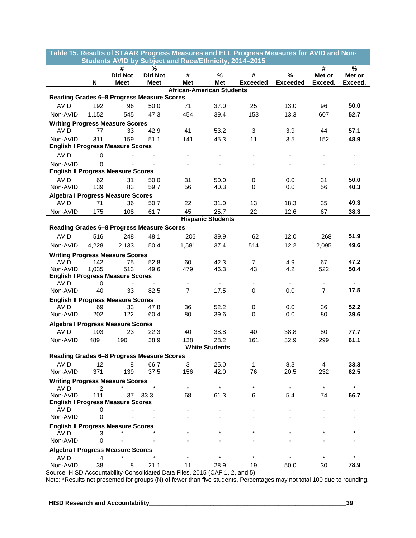| Table 15. Results of STAAR Progress Measures and ELL Progress Measures for AVID and Non-                  |                   |               |  |  |  |  |  |  |  |
|-----------------------------------------------------------------------------------------------------------|-------------------|---------------|--|--|--|--|--|--|--|
| Students AVID by Subject and Race/Ethnicity, 2014-2015                                                    |                   |               |  |  |  |  |  |  |  |
| $\frac{9}{6}$<br>#                                                                                        | #                 | $\frac{9}{6}$ |  |  |  |  |  |  |  |
| <b>Did Not</b><br><b>Did Not</b><br>%<br>#<br>#<br>%                                                      | Met or<br>Exceed. | Met or        |  |  |  |  |  |  |  |
| <b>Exceeded</b><br>N<br>Meet<br>Meet<br>Met<br>Met<br><b>Exceeded</b><br><b>African-American Students</b> |                   | Exceed.       |  |  |  |  |  |  |  |
| Reading Grades 6-8 Progress Measure Scores                                                                |                   |               |  |  |  |  |  |  |  |
| <b>AVID</b><br>192<br>96<br>50.0<br>71<br>37.0<br>25<br>13.0                                              | 96                | 50.0          |  |  |  |  |  |  |  |
| 47.3<br>39.4<br>153<br>13.3<br>Non-AVID<br>1,152<br>545<br>454                                            | 607               | 52.7          |  |  |  |  |  |  |  |
| <b>Writing Progress Measure Scores</b>                                                                    |                   |               |  |  |  |  |  |  |  |
| <b>AVID</b><br>77<br>33<br>42.9<br>41<br>53.2<br>3<br>3.9                                                 | 44                | 57.1          |  |  |  |  |  |  |  |
| Non-AVID<br>311<br>159<br>51.1<br>141<br>45.3<br>11<br>3.5                                                | 152               | 48.9          |  |  |  |  |  |  |  |
| <b>English I Progress Measure Scores</b>                                                                  |                   |               |  |  |  |  |  |  |  |
| <b>AVID</b><br>0                                                                                          |                   |               |  |  |  |  |  |  |  |
| Non-AVID<br>0                                                                                             |                   |               |  |  |  |  |  |  |  |
| <b>English II Progress Measure Scores</b>                                                                 |                   |               |  |  |  |  |  |  |  |
| <b>AVID</b><br>62<br>31<br>50.0<br>31<br>50.0<br>0<br>0.0                                                 | 31                | 50.0          |  |  |  |  |  |  |  |
| 139<br>83<br>Non-AVID<br>59.7<br>56<br>40.3<br>0.0<br>0                                                   | 56                | 40.3          |  |  |  |  |  |  |  |
| <b>Algebra I Progress Measure Scores</b>                                                                  |                   |               |  |  |  |  |  |  |  |
| 36<br>50.7<br>22<br>31.0<br>13<br>AVID<br>71<br>18.3                                                      | 35                | 49.3          |  |  |  |  |  |  |  |
| 22<br>12.6<br>Non-AVID<br>175<br>108<br>61.7<br>45<br>25.7                                                | 67                | 38.3          |  |  |  |  |  |  |  |
| <b>Hispanic Students</b>                                                                                  |                   |               |  |  |  |  |  |  |  |
| Reading Grades 6-8 Progress Measure Scores                                                                |                   |               |  |  |  |  |  |  |  |
| 516<br>62<br><b>AVID</b><br>248<br>48.1<br>206<br>39.9<br>12.0                                            | 268               | 51.9          |  |  |  |  |  |  |  |
| 50.4<br>514<br>12.2<br>Non-AVID<br>1,581<br>37.4<br>4,228<br>2,133                                        | 2,095             | 49.6          |  |  |  |  |  |  |  |
| <b>Writing Progress Measure Scores</b>                                                                    |                   |               |  |  |  |  |  |  |  |
| <b>AVID</b><br>52.8<br>60<br>42.3<br>4.9<br>142<br>75<br>7                                                | 67                | 47.2          |  |  |  |  |  |  |  |
| 1,035<br>513<br>49.6<br>479<br>46.3<br>43<br>4.2<br>Non-AVID                                              | 522               | 50.4          |  |  |  |  |  |  |  |
| <b>English I Progress Measure Scores</b>                                                                  |                   |               |  |  |  |  |  |  |  |
| <b>AVID</b><br>0<br>$\overline{7}$<br>40<br>33<br>82.5<br>17.5<br>Non-AVID<br>0<br>0.0                    | $\overline{7}$    | 17.5          |  |  |  |  |  |  |  |
|                                                                                                           |                   |               |  |  |  |  |  |  |  |
| <b>English II Progress Measure Scores</b><br><b>AVID</b><br>33<br>36<br>52.2<br>0.0<br>69<br>47.8         | 36                | 52.2          |  |  |  |  |  |  |  |
| 0<br>Non-AVID<br>202<br>122<br>60.4<br>80<br>39.6<br>0.0<br>0                                             | 80                | 39.6          |  |  |  |  |  |  |  |
|                                                                                                           |                   |               |  |  |  |  |  |  |  |
| <b>Algebra I Progress Measure Scores</b><br><b>AVID</b><br>103<br>23<br>40<br>40<br>22.3<br>38.8<br>38.8  | 80                | 77.7          |  |  |  |  |  |  |  |
| 28.2<br>Non-AVID<br>489<br>190<br>38.9<br>161<br>32.9<br>138                                              | 299               | 61.1          |  |  |  |  |  |  |  |
| <b>White Students</b>                                                                                     |                   |               |  |  |  |  |  |  |  |
| Reading Grades 6-8 Progress Measure Scores                                                                |                   |               |  |  |  |  |  |  |  |
| <b>AVID</b><br>12<br>66.7<br>25.0<br>8.3<br>8<br>3<br>$\mathbf{1}$                                        | $\overline{4}$    | 33.3          |  |  |  |  |  |  |  |
| 37.5<br>76<br>Non-AVID<br>371<br>139<br>156<br>42.0<br>20.5                                               | 232               | 62.5          |  |  |  |  |  |  |  |
| <b>Writing Progress Measure Scores</b>                                                                    |                   |               |  |  |  |  |  |  |  |
| $\star$<br>$\star$<br>$\star$<br>$\star$<br>AVID<br>2                                                     | $\star$           | $\star$       |  |  |  |  |  |  |  |
| Non-AVID<br>111<br>61.3<br>37<br>33.3<br>68<br>6<br>5.4                                                   | 74                | 66.7          |  |  |  |  |  |  |  |
| <b>English I Progress Measure Scores</b>                                                                  |                   |               |  |  |  |  |  |  |  |
| <b>AVID</b><br>0                                                                                          |                   |               |  |  |  |  |  |  |  |
| Non-AVID<br>0                                                                                             |                   |               |  |  |  |  |  |  |  |
| <b>English II Progress Measure Scores</b>                                                                 |                   |               |  |  |  |  |  |  |  |
| <b>AVID</b><br>3<br>Non-AVID<br>0                                                                         |                   |               |  |  |  |  |  |  |  |
|                                                                                                           |                   |               |  |  |  |  |  |  |  |
| <b>Algebra I Progress Measure Scores</b><br>$\star$                                                       |                   |               |  |  |  |  |  |  |  |
| <b>AVID</b><br>4<br>Non-AVID<br>38<br>21.1<br>11<br>28.9<br>19<br>50.0<br>8                               | 30                | 78.9          |  |  |  |  |  |  |  |

Source: HISD Accountability-Consolidated Data Files, 2015 (CAF 1, 2, and 5)

Note: \*Results not presented for groups (N) of fewer than five students. Percentages may not total 100 due to rounding.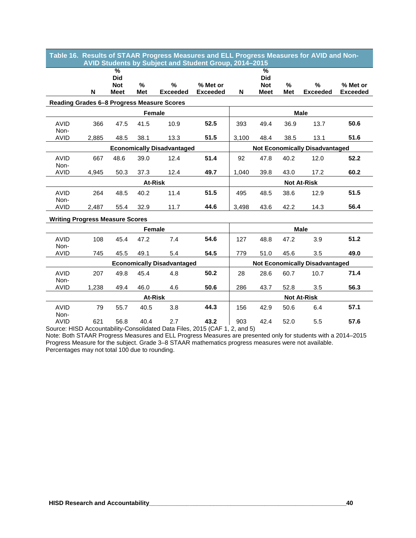| % Met or                              |  |  |  |  |
|---------------------------------------|--|--|--|--|
| <b>Exceeded</b>                       |  |  |  |  |
|                                       |  |  |  |  |
| <b>Male</b>                           |  |  |  |  |
|                                       |  |  |  |  |
| 50.6                                  |  |  |  |  |
| 51.6                                  |  |  |  |  |
|                                       |  |  |  |  |
|                                       |  |  |  |  |
|                                       |  |  |  |  |
| 60.2                                  |  |  |  |  |
| <b>Not At-Risk</b>                    |  |  |  |  |
| 51.5                                  |  |  |  |  |
|                                       |  |  |  |  |
| 56.4                                  |  |  |  |  |
|                                       |  |  |  |  |
|                                       |  |  |  |  |
| 51.2                                  |  |  |  |  |
|                                       |  |  |  |  |
| 49.0                                  |  |  |  |  |
| <b>Not Economically Disadvantaged</b> |  |  |  |  |
| 71.4                                  |  |  |  |  |
|                                       |  |  |  |  |
| 56.3                                  |  |  |  |  |
|                                       |  |  |  |  |
| 57.1                                  |  |  |  |  |
|                                       |  |  |  |  |
| 57.6                                  |  |  |  |  |
| 52.2                                  |  |  |  |  |

Note: Both STAAR Progress Measures and ELL Progress Measures are presented only for students with a 2014–2015 Progress Measure for the subject. Grade 3–8 STAAR mathematics progress measures were not available. Percentages may not total 100 due to rounding.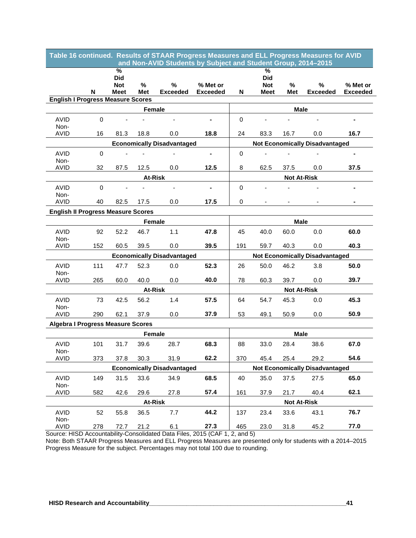| Table 16 continued. Results of STAAR Progress Measures and ELL Progress Measures for AVID<br>and Non-AVID Students by Subject and Student Group, 2014-2015 |                                                                                       |                    |               |                                                                             |                             |                                       |                    |                    |                                       |                             |
|------------------------------------------------------------------------------------------------------------------------------------------------------------|---------------------------------------------------------------------------------------|--------------------|---------------|-----------------------------------------------------------------------------|-----------------------------|---------------------------------------|--------------------|--------------------|---------------------------------------|-----------------------------|
|                                                                                                                                                            |                                                                                       | %                  |               |                                                                             |                             |                                       | $\%$               |                    |                                       |                             |
|                                                                                                                                                            |                                                                                       | <b>Did</b>         |               |                                                                             |                             |                                       | <b>Did</b>         |                    |                                       |                             |
|                                                                                                                                                            | N                                                                                     | <b>Not</b><br>Meet | $\%$<br>Met   | $\%$<br><b>Exceeded</b>                                                     | % Met or<br><b>Exceeded</b> | N                                     | <b>Not</b><br>Meet | %<br>Met           | $\%$<br><b>Exceeded</b>               | % Met or<br><b>Exceeded</b> |
| <b>English I Progress Measure Scores</b>                                                                                                                   |                                                                                       |                    |               |                                                                             |                             |                                       |                    |                    |                                       |                             |
|                                                                                                                                                            |                                                                                       |                    | Female        |                                                                             |                             |                                       |                    | <b>Male</b>        |                                       |                             |
| <b>AVID</b>                                                                                                                                                | $\Omega$                                                                              |                    |               |                                                                             |                             | $\mathbf 0$                           |                    |                    |                                       |                             |
| Non-                                                                                                                                                       |                                                                                       |                    |               |                                                                             |                             | 24                                    |                    |                    |                                       |                             |
|                                                                                                                                                            | <b>AVID</b><br>16<br>81.3<br>18.8<br>0.0<br>18.8<br><b>Economically Disadvantaged</b> |                    |               |                                                                             |                             |                                       | 83.3               | 16.7               | 0.0                                   | 16.7                        |
|                                                                                                                                                            |                                                                                       |                    |               |                                                                             |                             | <b>Not Economically Disadvantaged</b> |                    |                    |                                       |                             |
| <b>AVID</b><br>Non-                                                                                                                                        | $\Omega$                                                                              |                    |               |                                                                             | $\blacksquare$              | $\mathbf 0$                           |                    |                    |                                       | $\blacksquare$              |
| <b>AVID</b>                                                                                                                                                | 32                                                                                    | 87.5               | 12.5          | 0.0                                                                         | 12.5                        | 8                                     | 62.5               | 37.5               | 0.0                                   | 37.5                        |
|                                                                                                                                                            |                                                                                       |                    |               | <b>At-Risk</b>                                                              |                             |                                       |                    | <b>Not At-Risk</b> |                                       |                             |
| <b>AVID</b>                                                                                                                                                | $\mathbf 0$                                                                           |                    |               |                                                                             | $\overline{\phantom{0}}$    | $\mathbf 0$                           |                    |                    |                                       |                             |
| Non-<br><b>AVID</b>                                                                                                                                        | 40                                                                                    | 82.5               | 17.5          | 0.0                                                                         | 17.5                        | 0                                     |                    |                    |                                       |                             |
|                                                                                                                                                            |                                                                                       |                    |               |                                                                             |                             |                                       |                    |                    |                                       |                             |
| <b>English II Progress Measure Scores</b><br><b>Female</b>                                                                                                 |                                                                                       |                    |               |                                                                             |                             |                                       |                    | <b>Male</b>        |                                       |                             |
| <b>AVID</b>                                                                                                                                                | 92                                                                                    | 52.2               | 46.7          | 1.1                                                                         | 47.8                        | 45                                    | 40.0               | 60.0               | 0.0                                   | 60.0                        |
| Non-<br><b>AVID</b>                                                                                                                                        | 152                                                                                   | 60.5               | 39.5          | 0.0                                                                         | 39.5                        | 191                                   | 59.7               | 40.3               | 0.0                                   | 40.3                        |
| <b>Economically Disadvantaged</b>                                                                                                                          |                                                                                       |                    |               |                                                                             |                             |                                       |                    |                    | <b>Not Economically Disadvantaged</b> |                             |
|                                                                                                                                                            |                                                                                       |                    |               |                                                                             |                             |                                       |                    |                    |                                       |                             |
| AVID<br>Non-                                                                                                                                               | 111                                                                                   | 47.7               | 52.3          | 0.0                                                                         | 52.3                        | 26                                    | 50.0               | 46.2               | 3.8                                   | 50.0                        |
| AVID                                                                                                                                                       | 265                                                                                   | 60.0               | 40.0          | 0.0                                                                         | 40.0                        | 78                                    | 60.3               | 39.7               | 0.0                                   | 39.7                        |
|                                                                                                                                                            |                                                                                       |                    |               | At-Risk                                                                     |                             |                                       |                    | <b>Not At-Risk</b> |                                       |                             |
| <b>AVID</b>                                                                                                                                                | 73                                                                                    | 42.5               | 56.2          | 1.4                                                                         | 57.5                        | 64                                    | 54.7               | 45.3               | 0.0                                   | 45.3                        |
| Non-<br><b>AVID</b>                                                                                                                                        | 290                                                                                   | 62.1               | 37.9          | 0.0                                                                         | 37.9                        | 53                                    | 49.1               | 50.9               | 0.0                                   | 50.9                        |
| <b>Algebra I Progress Measure Scores</b>                                                                                                                   |                                                                                       |                    |               |                                                                             |                             |                                       |                    |                    |                                       |                             |
|                                                                                                                                                            |                                                                                       |                    | <b>Female</b> |                                                                             |                             |                                       |                    | <b>Male</b>        |                                       |                             |
| <b>AVID</b>                                                                                                                                                | 101                                                                                   | 31.7               | 39.6          | 28.7                                                                        | 68.3                        | 88                                    | 33.0               | 28.4               | 38.6                                  | 67.0                        |
| Non-<br><b>AVID</b>                                                                                                                                        | 373                                                                                   | 37.8               | 30.3          | 31.9                                                                        | 62.2                        | 370                                   | 45.4               | 25.4               | 29.2                                  | 54.6                        |
| <b>Economically Disadvantaged</b>                                                                                                                          |                                                                                       |                    |               |                                                                             |                             | <b>Not Economically Disadvantaged</b> |                    |                    |                                       |                             |
| <b>AVID</b>                                                                                                                                                | 149                                                                                   | 31.5               | 33.6          | 34.9                                                                        | 68.5                        | 40                                    | 35.0               | 37.5               | 27.5                                  | 65.0                        |
| Non-<br>AVID                                                                                                                                               | 582                                                                                   | 42.6               | 29.6          | 27.8                                                                        | 57.4                        | 161                                   | 37.9               | 21.7               | 40.4                                  | 62.1                        |
| <b>At-Risk</b>                                                                                                                                             |                                                                                       |                    |               |                                                                             |                             |                                       |                    | <b>Not At-Risk</b> |                                       |                             |
| AVID                                                                                                                                                       | 52                                                                                    | 55.8               | 36.5          | 7.7                                                                         | 44.2                        | 137                                   | 23.4               | 33.6               | 43.1                                  | 76.7                        |
| Non-<br>AVID                                                                                                                                               | 278                                                                                   | 72.7               | 21.2          | 6.1                                                                         | 27.3                        | 465                                   | 23.0               | 31.8               | 45.2                                  | 77.0                        |
|                                                                                                                                                            |                                                                                       |                    |               | Source: HISD Accountability-Consolidated Data Files, 2015 (CAF 1, 2, and 5) |                             |                                       |                    |                    |                                       |                             |

Note: Both STAAR Progress Measures and ELL Progress Measures are presented only for students with a 2014–2015 Progress Measure for the subject. Percentages may not total 100 due to rounding.